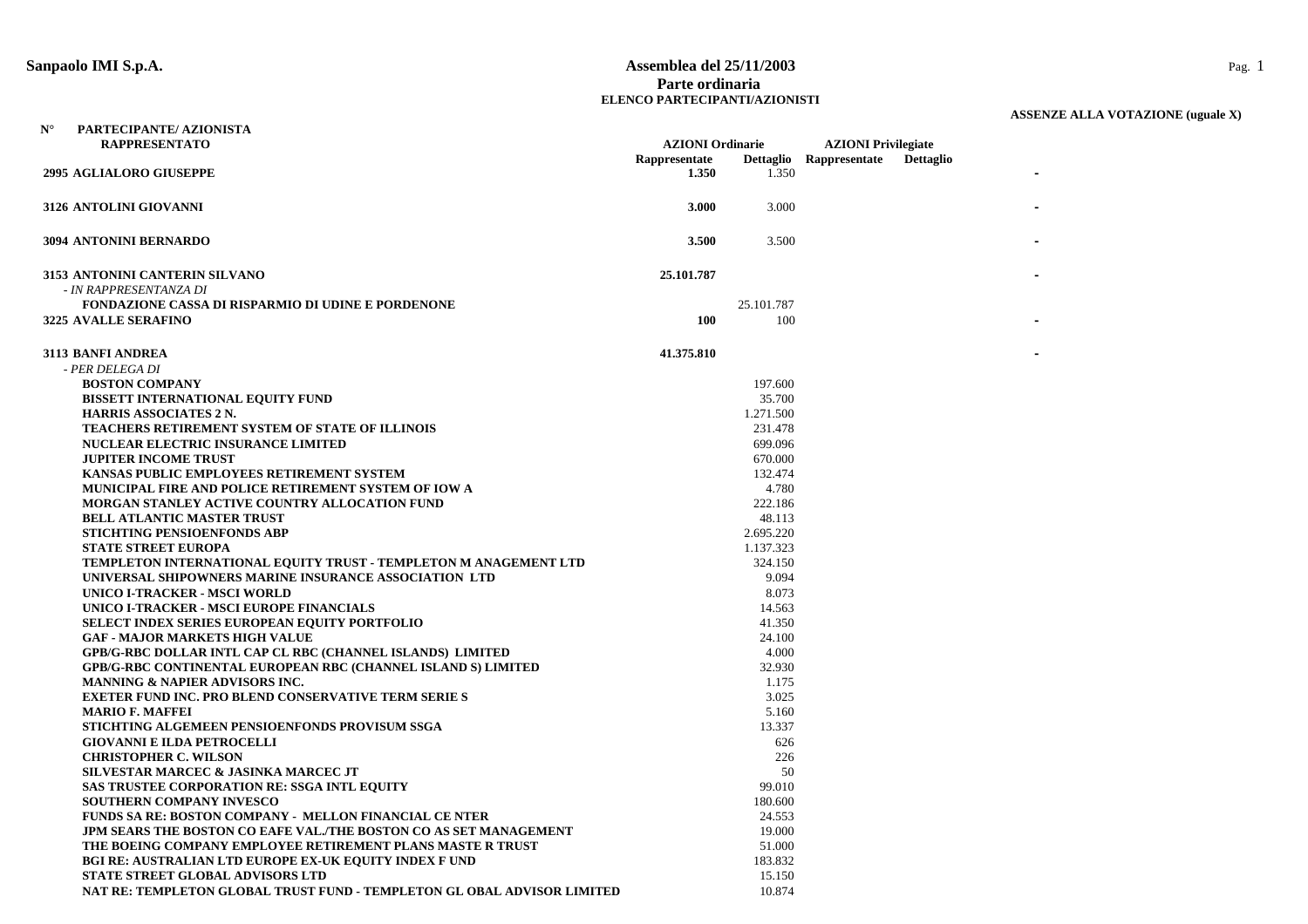#### **Sanpaolo IMI S.p.A. Assemblea del 25/11/2003** Pag. 1 **Parte ordinariaELENCO PARTECIPANTI/AZIONISTI**

| $\mathbf{N}^\circ$ | PARTECIPANTE/ AZIONISTA                                                 |                         |            |                            |                  |
|--------------------|-------------------------------------------------------------------------|-------------------------|------------|----------------------------|------------------|
|                    | <b>RAPPRESENTATO</b>                                                    | <b>AZIONI</b> Ordinarie |            | <b>AZIONI</b> Privilegiate |                  |
|                    | <b>2995 AGLIALORO GIUSEPPE</b>                                          | Rappresentate<br>1.350  | 1.350      | Dettaglio Rappresentate    | <b>Dettaglio</b> |
|                    | 3126 ANTOLINI GIOVANNI                                                  | 3.000                   | 3.000      |                            |                  |
|                    | 3094 ANTONINI BERNARDO                                                  | 3.500                   | 3.500      |                            |                  |
|                    | 3153 ANTONINI CANTERIN SILVANO                                          | 25.101.787              |            |                            |                  |
|                    | - IN RAPPRESENTANZA DI                                                  |                         |            |                            |                  |
|                    | <b>FONDAZIONE CASSA DI RISPARMIO DI UDINE E PORDENONE</b>               |                         | 25.101.787 |                            |                  |
|                    | <b>3225 AVALLE SERAFINO</b>                                             | <b>100</b>              | 100        |                            |                  |
|                    | 3113 BANFI ANDREA                                                       | 41.375.810              |            |                            |                  |
|                    | - PER DELEGA DI                                                         |                         |            |                            |                  |
|                    | <b>BOSTON COMPANY</b>                                                   |                         | 197.600    |                            |                  |
|                    | BISSETT INTERNATIONAL EQUITY FUND                                       |                         | 35.700     |                            |                  |
|                    | <b>HARRIS ASSOCIATES 2 N.</b>                                           |                         | 1.271.500  |                            |                  |
|                    | <b>TEACHERS RETIREMENT SYSTEM OF STATE OF ILLINOIS</b>                  |                         | 231.478    |                            |                  |
|                    | <b>NUCLEAR ELECTRIC INSURANCE LIMITED</b>                               |                         | 699.096    |                            |                  |
|                    | <b>JUPITER INCOME TRUST</b>                                             |                         | 670.000    |                            |                  |
|                    | KANSAS PUBLIC EMPLOYEES RETIREMENT SYSTEM                               |                         | 132.474    |                            |                  |
|                    | MUNICIPAL FIRE AND POLICE RETIREMENT SYSTEM OF IOW A                    |                         | 4.780      |                            |                  |
|                    | <b>MORGAN STANLEY ACTIVE COUNTRY ALLOCATION FUND</b>                    |                         | 222.186    |                            |                  |
|                    | <b>BELL ATLANTIC MASTER TRUST</b>                                       |                         | 48.113     |                            |                  |
|                    | <b>STICHTING PENSIOENFONDS ABP</b>                                      |                         | 2.695.220  |                            |                  |
|                    | <b>STATE STREET EUROPA</b>                                              |                         | 1.137.323  |                            |                  |
|                    | TEMPLETON INTERNATIONAL EQUITY TRUST - TEMPLETON M ANAGEMENT LTD        |                         | 324.150    |                            |                  |
|                    | UNIVERSAL SHIPOWNERS MARINE INSURANCE ASSOCIATION LTD                   |                         | 9.094      |                            |                  |
|                    | UNICO I-TRACKER - MSCI WORLD                                            |                         | 8.073      |                            |                  |
|                    | UNICO I-TRACKER - MSCI EUROPE FINANCIALS                                |                         | 14.563     |                            |                  |
|                    | <b>SELECT INDEX SERIES EUROPEAN EQUITY PORTFOLIO</b>                    |                         | 41.350     |                            |                  |
|                    | <b>GAF - MAJOR MARKETS HIGH VALUE</b>                                   |                         | 24.100     |                            |                  |
|                    | <b>GPB/G-RBC DOLLAR INTL CAP CL RBC (CHANNEL ISLANDS) LIMITED</b>       |                         | 4.000      |                            |                  |
|                    | <b>GPB/G-RBC CONTINENTAL EUROPEAN RBC (CHANNEL ISLAND S) LIMITED</b>    |                         | 32.930     |                            |                  |
|                    | <b>MANNING &amp; NAPIER ADVISORS INC.</b>                               |                         | 1.175      |                            |                  |
|                    | <b>EXETER FUND INC. PRO BLEND CONSERVATIVE TERM SERIE S</b>             |                         | 3.025      |                            |                  |
|                    | <b>MARIO F. MAFFEI</b>                                                  |                         | 5.160      |                            |                  |
|                    | STICHTING ALGEMEEN PENSIOENFONDS PROVISUM SSGA                          |                         | 13.337     |                            |                  |
|                    | <b>GIOVANNI E ILDA PETROCELLI</b>                                       |                         | 626        |                            |                  |
|                    | <b>CHRISTOPHER C. WILSON</b>                                            |                         | 226        |                            |                  |
|                    | SILVESTAR MARCEC & JASINKA MARCEC JT                                    |                         | 50         |                            |                  |
|                    | <b>SAS TRUSTEE CORPORATION RE: SSGA INTL EQUITY</b>                     |                         | 99.010     |                            |                  |
|                    | <b>SOUTHERN COMPANY INVESCO</b>                                         |                         | 180.600    |                            |                  |
|                    | <b>FUNDS SA RE: BOSTON COMPANY - MELLON FINANCIAL CE NTER</b>           |                         | 24.553     |                            |                  |
|                    | JPM SEARS THE BOSTON CO EAFE VAL./THE BOSTON CO AS SET MANAGEMENT       |                         | 19.000     |                            |                  |
|                    | THE BOEING COMPANY EMPLOYEE RETIREMENT PLANS MASTE R TRUST              |                         | 51.000     |                            |                  |
|                    | <b>BGI RE: AUSTRALIAN LTD EUROPE EX-UK EQUITY INDEX F UND</b>           |                         | 183.832    |                            |                  |
|                    | <b>STATE STREET GLOBAL ADVISORS LTD</b>                                 |                         | 15.150     |                            |                  |
|                    | NAT RE: TEMPLETON GLOBAL TRUST FUND - TEMPLETON GL OBAL ADVISOR LIMITED |                         | 10.874     |                            |                  |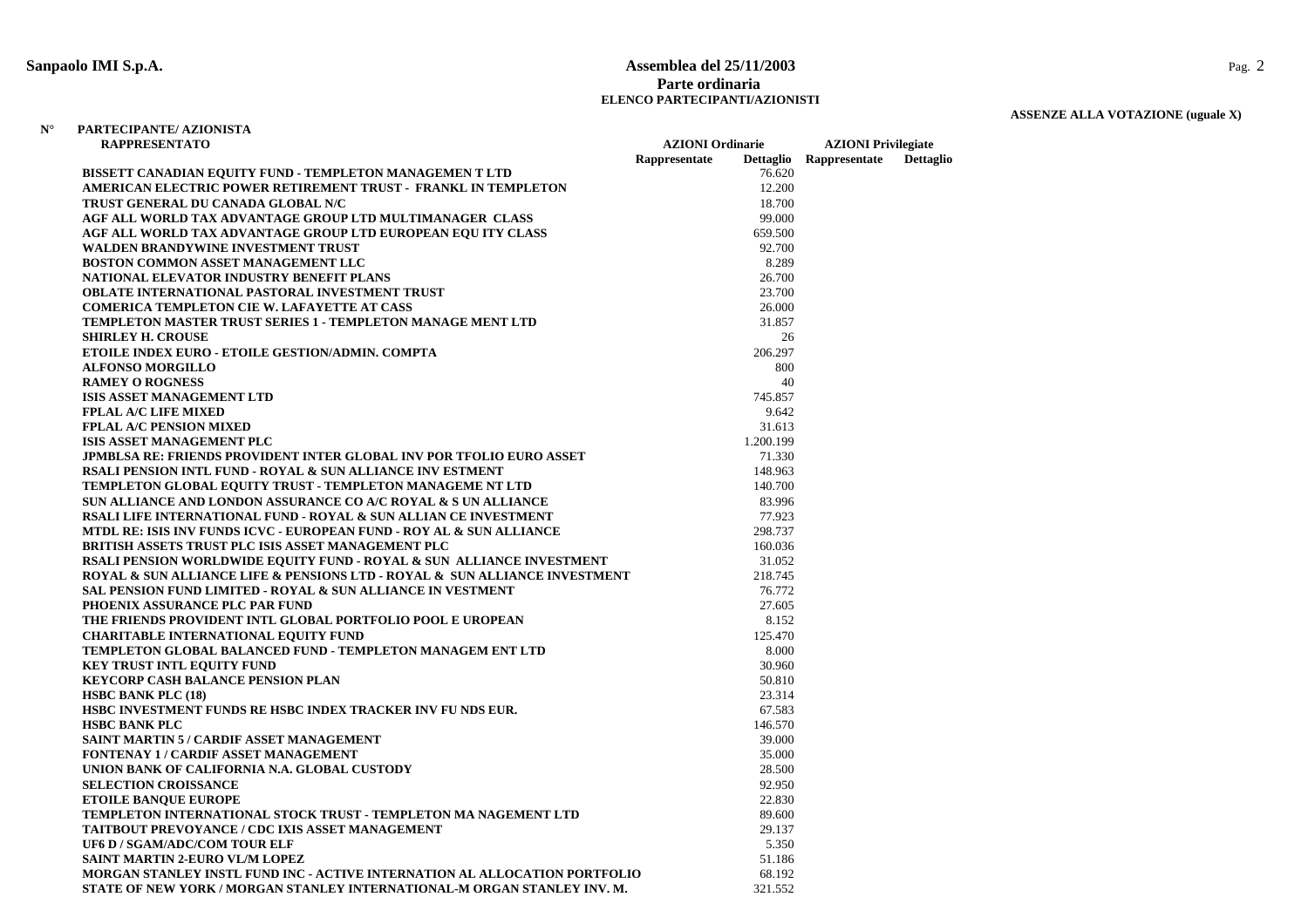#### **Sanpaolo IMI S.p.A. Assemblea del 25/11/2003** Pag. 2 **Parte ordinariaELENCO PARTECIPANTI/AZIONISTI**

# **ASSENZE ALLA VOTAZIONE (uguale X)**

| Rappresentate<br>Rappresentate<br><b>Dettaglio</b><br><b>Dettaglio</b><br>BISSETT CANADIAN EQUITY FUND - TEMPLETON MANAGEMEN T LTD<br>76.620<br>AMERICAN ELECTRIC POWER RETIREMENT TRUST - FRANKL IN TEMPLETON<br>12.200<br>TRUST GENERAL DU CANADA GLOBAL N/C<br>18.700<br>AGF ALL WORLD TAX ADVANTAGE GROUP LTD MULTIMANAGER CLASS<br>99.000<br>AGF ALL WORLD TAX ADVANTAGE GROUP LTD EUROPEAN EQUITY CLASS<br>659.500<br><b>WALDEN BRANDYWINE INVESTMENT TRUST</b><br>92.700<br><b>BOSTON COMMON ASSET MANAGEMENT LLC</b><br>8.289<br>NATIONAL ELEVATOR INDUSTRY BENEFIT PLANS<br>26.700<br>OBLATE INTERNATIONAL PASTORAL INVESTMENT TRUST<br>23.700<br><b>COMERICA TEMPLETON CIE W. LAFAYETTE AT CASS</b><br>26.000<br><b>TEMPLETON MASTER TRUST SERIES 1 - TEMPLETON MANAGE MENT LTD</b><br>31.857<br><b>SHIRLEY H. CROUSE</b><br>26<br>ETOILE INDEX EURO - ETOILE GESTION/ADMIN. COMPTA<br>206.297<br><b>ALFONSO MORGILLO</b><br>800<br><b>RAMEY O ROGNESS</b><br>40<br><b>ISIS ASSET MANAGEMENT LTD</b><br>745.857<br><b>FPLAL A/C LIFE MIXED</b><br>9.642<br><b>FPLAL A/C PENSION MIXED</b><br>31.613<br>1.200.199<br>ISIS ASSET MANAGEMENT PLC<br><b>JPMBLSA RE: FRIENDS PROVIDENT INTER GLOBAL INV POR TFOLIO EURO ASSET</b><br>71.330<br><b>RSALI PENSION INTL FUND - ROYAL &amp; SUN ALLIANCE INV ESTMENT</b><br>148.963<br>TEMPLETON GLOBAL EQUITY TRUST - TEMPLETON MANAGEME NT LTD<br>140.700<br>SUN ALLIANCE AND LONDON ASSURANCE CO A/C ROYAL & S UN ALLIANCE<br>83.996<br>RSALI LIFE INTERNATIONAL FUND - ROYAL & SUN ALLIAN CE INVESTMENT<br>77.923<br>MTDL RE: ISIS INV FUNDS ICVC - EUROPEAN FUND - ROY AL & SUN ALLIANCE<br>298.737<br><b>BRITISH ASSETS TRUST PLC ISIS ASSET MANAGEMENT PLC</b><br>160.036<br>RSALI PENSION WORLDWIDE EQUITY FUND - ROYAL & SUN ALLIANCE INVESTMENT<br>31.052<br>ROYAL & SUN ALLIANCE LIFE & PENSIONS LTD - ROYAL & SUN ALLIANCE INVESTMENT<br>218.745<br><b>SAL PENSION FUND LIMITED - ROYAL &amp; SUN ALLIANCE IN VESTMENT</b><br>76.772<br>PHOENIX ASSURANCE PLC PAR FUND<br>27.605<br>THE FRIENDS PROVIDENT INTL GLOBAL PORTFOLIO POOL E UROPEAN<br>8.152<br><b>CHARITABLE INTERNATIONAL EQUITY FUND</b><br>125.470<br>TEMPLETON GLOBAL BALANCED FUND - TEMPLETON MANAGEM ENT LTD<br>8.000<br>30.960<br><b>KEY TRUST INTL EQUITY FUND</b><br><b>KEYCORP CASH BALANCE PENSION PLAN</b><br>50.810<br><b>HSBC BANK PLC (18)</b><br>23.314<br>HSBC INVESTMENT FUNDS RE HSBC INDEX TRACKER INV FU NDS EUR.<br>67.583<br>146.570<br><b>HSBC BANK PLC</b><br>SAINT MARTIN 5 / CARDIF ASSET MANAGEMENT<br>39.000<br>FONTENAY 1 / CARDIF ASSET MANAGEMENT<br>35.000<br>28.500<br>UNION BANK OF CALIFORNIA N.A. GLOBAL CUSTODY<br><b>SELECTION CROISSANCE</b><br>92.950<br><b>ETOILE BANQUE EUROPE</b><br>22.830<br>TEMPLETON INTERNATIONAL STOCK TRUST - TEMPLETON MA NAGEMENT LTD<br>89.600<br><b>TAITBOUT PREVOYANCE / CDC IXIS ASSET MANAGEMENT</b><br>29.137<br><b>UF6 D / SGAM/ADC/COM TOUR ELF</b><br>5.350<br><b>SAINT MARTIN 2-EURO VL/M LOPEZ</b><br>51.186<br>MORGAN STANLEY INSTL FUND INC - ACTIVE INTERNATION AL ALLOCATION PORTFOLIO<br>68.192 | RAPPRESENTATO |                                                                          | <b>AZIONI</b> Ordinarie |         | <b>AZIONI</b> Privilegiate |  |  |
|----------------------------------------------------------------------------------------------------------------------------------------------------------------------------------------------------------------------------------------------------------------------------------------------------------------------------------------------------------------------------------------------------------------------------------------------------------------------------------------------------------------------------------------------------------------------------------------------------------------------------------------------------------------------------------------------------------------------------------------------------------------------------------------------------------------------------------------------------------------------------------------------------------------------------------------------------------------------------------------------------------------------------------------------------------------------------------------------------------------------------------------------------------------------------------------------------------------------------------------------------------------------------------------------------------------------------------------------------------------------------------------------------------------------------------------------------------------------------------------------------------------------------------------------------------------------------------------------------------------------------------------------------------------------------------------------------------------------------------------------------------------------------------------------------------------------------------------------------------------------------------------------------------------------------------------------------------------------------------------------------------------------------------------------------------------------------------------------------------------------------------------------------------------------------------------------------------------------------------------------------------------------------------------------------------------------------------------------------------------------------------------------------------------------------------------------------------------------------------------------------------------------------------------------------------------------------------------------------------------------------------------------------------------------------------------------------------------------------------------------------------------------------------------------------------------------------------------------------------------------------------------------------------------------------------------------------------------------------------------------------------------------------------------------------------------------------------------------------------------|---------------|--------------------------------------------------------------------------|-------------------------|---------|----------------------------|--|--|
|                                                                                                                                                                                                                                                                                                                                                                                                                                                                                                                                                                                                                                                                                                                                                                                                                                                                                                                                                                                                                                                                                                                                                                                                                                                                                                                                                                                                                                                                                                                                                                                                                                                                                                                                                                                                                                                                                                                                                                                                                                                                                                                                                                                                                                                                                                                                                                                                                                                                                                                                                                                                                                                                                                                                                                                                                                                                                                                                                                                                                                                                                                                |               |                                                                          |                         |         |                            |  |  |
|                                                                                                                                                                                                                                                                                                                                                                                                                                                                                                                                                                                                                                                                                                                                                                                                                                                                                                                                                                                                                                                                                                                                                                                                                                                                                                                                                                                                                                                                                                                                                                                                                                                                                                                                                                                                                                                                                                                                                                                                                                                                                                                                                                                                                                                                                                                                                                                                                                                                                                                                                                                                                                                                                                                                                                                                                                                                                                                                                                                                                                                                                                                |               |                                                                          |                         |         |                            |  |  |
|                                                                                                                                                                                                                                                                                                                                                                                                                                                                                                                                                                                                                                                                                                                                                                                                                                                                                                                                                                                                                                                                                                                                                                                                                                                                                                                                                                                                                                                                                                                                                                                                                                                                                                                                                                                                                                                                                                                                                                                                                                                                                                                                                                                                                                                                                                                                                                                                                                                                                                                                                                                                                                                                                                                                                                                                                                                                                                                                                                                                                                                                                                                |               |                                                                          |                         |         |                            |  |  |
|                                                                                                                                                                                                                                                                                                                                                                                                                                                                                                                                                                                                                                                                                                                                                                                                                                                                                                                                                                                                                                                                                                                                                                                                                                                                                                                                                                                                                                                                                                                                                                                                                                                                                                                                                                                                                                                                                                                                                                                                                                                                                                                                                                                                                                                                                                                                                                                                                                                                                                                                                                                                                                                                                                                                                                                                                                                                                                                                                                                                                                                                                                                |               |                                                                          |                         |         |                            |  |  |
|                                                                                                                                                                                                                                                                                                                                                                                                                                                                                                                                                                                                                                                                                                                                                                                                                                                                                                                                                                                                                                                                                                                                                                                                                                                                                                                                                                                                                                                                                                                                                                                                                                                                                                                                                                                                                                                                                                                                                                                                                                                                                                                                                                                                                                                                                                                                                                                                                                                                                                                                                                                                                                                                                                                                                                                                                                                                                                                                                                                                                                                                                                                |               |                                                                          |                         |         |                            |  |  |
|                                                                                                                                                                                                                                                                                                                                                                                                                                                                                                                                                                                                                                                                                                                                                                                                                                                                                                                                                                                                                                                                                                                                                                                                                                                                                                                                                                                                                                                                                                                                                                                                                                                                                                                                                                                                                                                                                                                                                                                                                                                                                                                                                                                                                                                                                                                                                                                                                                                                                                                                                                                                                                                                                                                                                                                                                                                                                                                                                                                                                                                                                                                |               |                                                                          |                         |         |                            |  |  |
|                                                                                                                                                                                                                                                                                                                                                                                                                                                                                                                                                                                                                                                                                                                                                                                                                                                                                                                                                                                                                                                                                                                                                                                                                                                                                                                                                                                                                                                                                                                                                                                                                                                                                                                                                                                                                                                                                                                                                                                                                                                                                                                                                                                                                                                                                                                                                                                                                                                                                                                                                                                                                                                                                                                                                                                                                                                                                                                                                                                                                                                                                                                |               |                                                                          |                         |         |                            |  |  |
|                                                                                                                                                                                                                                                                                                                                                                                                                                                                                                                                                                                                                                                                                                                                                                                                                                                                                                                                                                                                                                                                                                                                                                                                                                                                                                                                                                                                                                                                                                                                                                                                                                                                                                                                                                                                                                                                                                                                                                                                                                                                                                                                                                                                                                                                                                                                                                                                                                                                                                                                                                                                                                                                                                                                                                                                                                                                                                                                                                                                                                                                                                                |               |                                                                          |                         |         |                            |  |  |
|                                                                                                                                                                                                                                                                                                                                                                                                                                                                                                                                                                                                                                                                                                                                                                                                                                                                                                                                                                                                                                                                                                                                                                                                                                                                                                                                                                                                                                                                                                                                                                                                                                                                                                                                                                                                                                                                                                                                                                                                                                                                                                                                                                                                                                                                                                                                                                                                                                                                                                                                                                                                                                                                                                                                                                                                                                                                                                                                                                                                                                                                                                                |               |                                                                          |                         |         |                            |  |  |
|                                                                                                                                                                                                                                                                                                                                                                                                                                                                                                                                                                                                                                                                                                                                                                                                                                                                                                                                                                                                                                                                                                                                                                                                                                                                                                                                                                                                                                                                                                                                                                                                                                                                                                                                                                                                                                                                                                                                                                                                                                                                                                                                                                                                                                                                                                                                                                                                                                                                                                                                                                                                                                                                                                                                                                                                                                                                                                                                                                                                                                                                                                                |               |                                                                          |                         |         |                            |  |  |
|                                                                                                                                                                                                                                                                                                                                                                                                                                                                                                                                                                                                                                                                                                                                                                                                                                                                                                                                                                                                                                                                                                                                                                                                                                                                                                                                                                                                                                                                                                                                                                                                                                                                                                                                                                                                                                                                                                                                                                                                                                                                                                                                                                                                                                                                                                                                                                                                                                                                                                                                                                                                                                                                                                                                                                                                                                                                                                                                                                                                                                                                                                                |               |                                                                          |                         |         |                            |  |  |
|                                                                                                                                                                                                                                                                                                                                                                                                                                                                                                                                                                                                                                                                                                                                                                                                                                                                                                                                                                                                                                                                                                                                                                                                                                                                                                                                                                                                                                                                                                                                                                                                                                                                                                                                                                                                                                                                                                                                                                                                                                                                                                                                                                                                                                                                                                                                                                                                                                                                                                                                                                                                                                                                                                                                                                                                                                                                                                                                                                                                                                                                                                                |               |                                                                          |                         |         |                            |  |  |
|                                                                                                                                                                                                                                                                                                                                                                                                                                                                                                                                                                                                                                                                                                                                                                                                                                                                                                                                                                                                                                                                                                                                                                                                                                                                                                                                                                                                                                                                                                                                                                                                                                                                                                                                                                                                                                                                                                                                                                                                                                                                                                                                                                                                                                                                                                                                                                                                                                                                                                                                                                                                                                                                                                                                                                                                                                                                                                                                                                                                                                                                                                                |               |                                                                          |                         |         |                            |  |  |
|                                                                                                                                                                                                                                                                                                                                                                                                                                                                                                                                                                                                                                                                                                                                                                                                                                                                                                                                                                                                                                                                                                                                                                                                                                                                                                                                                                                                                                                                                                                                                                                                                                                                                                                                                                                                                                                                                                                                                                                                                                                                                                                                                                                                                                                                                                                                                                                                                                                                                                                                                                                                                                                                                                                                                                                                                                                                                                                                                                                                                                                                                                                |               |                                                                          |                         |         |                            |  |  |
|                                                                                                                                                                                                                                                                                                                                                                                                                                                                                                                                                                                                                                                                                                                                                                                                                                                                                                                                                                                                                                                                                                                                                                                                                                                                                                                                                                                                                                                                                                                                                                                                                                                                                                                                                                                                                                                                                                                                                                                                                                                                                                                                                                                                                                                                                                                                                                                                                                                                                                                                                                                                                                                                                                                                                                                                                                                                                                                                                                                                                                                                                                                |               |                                                                          |                         |         |                            |  |  |
|                                                                                                                                                                                                                                                                                                                                                                                                                                                                                                                                                                                                                                                                                                                                                                                                                                                                                                                                                                                                                                                                                                                                                                                                                                                                                                                                                                                                                                                                                                                                                                                                                                                                                                                                                                                                                                                                                                                                                                                                                                                                                                                                                                                                                                                                                                                                                                                                                                                                                                                                                                                                                                                                                                                                                                                                                                                                                                                                                                                                                                                                                                                |               |                                                                          |                         |         |                            |  |  |
|                                                                                                                                                                                                                                                                                                                                                                                                                                                                                                                                                                                                                                                                                                                                                                                                                                                                                                                                                                                                                                                                                                                                                                                                                                                                                                                                                                                                                                                                                                                                                                                                                                                                                                                                                                                                                                                                                                                                                                                                                                                                                                                                                                                                                                                                                                                                                                                                                                                                                                                                                                                                                                                                                                                                                                                                                                                                                                                                                                                                                                                                                                                |               |                                                                          |                         |         |                            |  |  |
|                                                                                                                                                                                                                                                                                                                                                                                                                                                                                                                                                                                                                                                                                                                                                                                                                                                                                                                                                                                                                                                                                                                                                                                                                                                                                                                                                                                                                                                                                                                                                                                                                                                                                                                                                                                                                                                                                                                                                                                                                                                                                                                                                                                                                                                                                                                                                                                                                                                                                                                                                                                                                                                                                                                                                                                                                                                                                                                                                                                                                                                                                                                |               |                                                                          |                         |         |                            |  |  |
|                                                                                                                                                                                                                                                                                                                                                                                                                                                                                                                                                                                                                                                                                                                                                                                                                                                                                                                                                                                                                                                                                                                                                                                                                                                                                                                                                                                                                                                                                                                                                                                                                                                                                                                                                                                                                                                                                                                                                                                                                                                                                                                                                                                                                                                                                                                                                                                                                                                                                                                                                                                                                                                                                                                                                                                                                                                                                                                                                                                                                                                                                                                |               |                                                                          |                         |         |                            |  |  |
|                                                                                                                                                                                                                                                                                                                                                                                                                                                                                                                                                                                                                                                                                                                                                                                                                                                                                                                                                                                                                                                                                                                                                                                                                                                                                                                                                                                                                                                                                                                                                                                                                                                                                                                                                                                                                                                                                                                                                                                                                                                                                                                                                                                                                                                                                                                                                                                                                                                                                                                                                                                                                                                                                                                                                                                                                                                                                                                                                                                                                                                                                                                |               |                                                                          |                         |         |                            |  |  |
|                                                                                                                                                                                                                                                                                                                                                                                                                                                                                                                                                                                                                                                                                                                                                                                                                                                                                                                                                                                                                                                                                                                                                                                                                                                                                                                                                                                                                                                                                                                                                                                                                                                                                                                                                                                                                                                                                                                                                                                                                                                                                                                                                                                                                                                                                                                                                                                                                                                                                                                                                                                                                                                                                                                                                                                                                                                                                                                                                                                                                                                                                                                |               |                                                                          |                         |         |                            |  |  |
|                                                                                                                                                                                                                                                                                                                                                                                                                                                                                                                                                                                                                                                                                                                                                                                                                                                                                                                                                                                                                                                                                                                                                                                                                                                                                                                                                                                                                                                                                                                                                                                                                                                                                                                                                                                                                                                                                                                                                                                                                                                                                                                                                                                                                                                                                                                                                                                                                                                                                                                                                                                                                                                                                                                                                                                                                                                                                                                                                                                                                                                                                                                |               |                                                                          |                         |         |                            |  |  |
|                                                                                                                                                                                                                                                                                                                                                                                                                                                                                                                                                                                                                                                                                                                                                                                                                                                                                                                                                                                                                                                                                                                                                                                                                                                                                                                                                                                                                                                                                                                                                                                                                                                                                                                                                                                                                                                                                                                                                                                                                                                                                                                                                                                                                                                                                                                                                                                                                                                                                                                                                                                                                                                                                                                                                                                                                                                                                                                                                                                                                                                                                                                |               |                                                                          |                         |         |                            |  |  |
|                                                                                                                                                                                                                                                                                                                                                                                                                                                                                                                                                                                                                                                                                                                                                                                                                                                                                                                                                                                                                                                                                                                                                                                                                                                                                                                                                                                                                                                                                                                                                                                                                                                                                                                                                                                                                                                                                                                                                                                                                                                                                                                                                                                                                                                                                                                                                                                                                                                                                                                                                                                                                                                                                                                                                                                                                                                                                                                                                                                                                                                                                                                |               |                                                                          |                         |         |                            |  |  |
|                                                                                                                                                                                                                                                                                                                                                                                                                                                                                                                                                                                                                                                                                                                                                                                                                                                                                                                                                                                                                                                                                                                                                                                                                                                                                                                                                                                                                                                                                                                                                                                                                                                                                                                                                                                                                                                                                                                                                                                                                                                                                                                                                                                                                                                                                                                                                                                                                                                                                                                                                                                                                                                                                                                                                                                                                                                                                                                                                                                                                                                                                                                |               |                                                                          |                         |         |                            |  |  |
|                                                                                                                                                                                                                                                                                                                                                                                                                                                                                                                                                                                                                                                                                                                                                                                                                                                                                                                                                                                                                                                                                                                                                                                                                                                                                                                                                                                                                                                                                                                                                                                                                                                                                                                                                                                                                                                                                                                                                                                                                                                                                                                                                                                                                                                                                                                                                                                                                                                                                                                                                                                                                                                                                                                                                                                                                                                                                                                                                                                                                                                                                                                |               |                                                                          |                         |         |                            |  |  |
|                                                                                                                                                                                                                                                                                                                                                                                                                                                                                                                                                                                                                                                                                                                                                                                                                                                                                                                                                                                                                                                                                                                                                                                                                                                                                                                                                                                                                                                                                                                                                                                                                                                                                                                                                                                                                                                                                                                                                                                                                                                                                                                                                                                                                                                                                                                                                                                                                                                                                                                                                                                                                                                                                                                                                                                                                                                                                                                                                                                                                                                                                                                |               |                                                                          |                         |         |                            |  |  |
|                                                                                                                                                                                                                                                                                                                                                                                                                                                                                                                                                                                                                                                                                                                                                                                                                                                                                                                                                                                                                                                                                                                                                                                                                                                                                                                                                                                                                                                                                                                                                                                                                                                                                                                                                                                                                                                                                                                                                                                                                                                                                                                                                                                                                                                                                                                                                                                                                                                                                                                                                                                                                                                                                                                                                                                                                                                                                                                                                                                                                                                                                                                |               |                                                                          |                         |         |                            |  |  |
|                                                                                                                                                                                                                                                                                                                                                                                                                                                                                                                                                                                                                                                                                                                                                                                                                                                                                                                                                                                                                                                                                                                                                                                                                                                                                                                                                                                                                                                                                                                                                                                                                                                                                                                                                                                                                                                                                                                                                                                                                                                                                                                                                                                                                                                                                                                                                                                                                                                                                                                                                                                                                                                                                                                                                                                                                                                                                                                                                                                                                                                                                                                |               |                                                                          |                         |         |                            |  |  |
|                                                                                                                                                                                                                                                                                                                                                                                                                                                                                                                                                                                                                                                                                                                                                                                                                                                                                                                                                                                                                                                                                                                                                                                                                                                                                                                                                                                                                                                                                                                                                                                                                                                                                                                                                                                                                                                                                                                                                                                                                                                                                                                                                                                                                                                                                                                                                                                                                                                                                                                                                                                                                                                                                                                                                                                                                                                                                                                                                                                                                                                                                                                |               |                                                                          |                         |         |                            |  |  |
|                                                                                                                                                                                                                                                                                                                                                                                                                                                                                                                                                                                                                                                                                                                                                                                                                                                                                                                                                                                                                                                                                                                                                                                                                                                                                                                                                                                                                                                                                                                                                                                                                                                                                                                                                                                                                                                                                                                                                                                                                                                                                                                                                                                                                                                                                                                                                                                                                                                                                                                                                                                                                                                                                                                                                                                                                                                                                                                                                                                                                                                                                                                |               |                                                                          |                         |         |                            |  |  |
|                                                                                                                                                                                                                                                                                                                                                                                                                                                                                                                                                                                                                                                                                                                                                                                                                                                                                                                                                                                                                                                                                                                                                                                                                                                                                                                                                                                                                                                                                                                                                                                                                                                                                                                                                                                                                                                                                                                                                                                                                                                                                                                                                                                                                                                                                                                                                                                                                                                                                                                                                                                                                                                                                                                                                                                                                                                                                                                                                                                                                                                                                                                |               |                                                                          |                         |         |                            |  |  |
|                                                                                                                                                                                                                                                                                                                                                                                                                                                                                                                                                                                                                                                                                                                                                                                                                                                                                                                                                                                                                                                                                                                                                                                                                                                                                                                                                                                                                                                                                                                                                                                                                                                                                                                                                                                                                                                                                                                                                                                                                                                                                                                                                                                                                                                                                                                                                                                                                                                                                                                                                                                                                                                                                                                                                                                                                                                                                                                                                                                                                                                                                                                |               |                                                                          |                         |         |                            |  |  |
|                                                                                                                                                                                                                                                                                                                                                                                                                                                                                                                                                                                                                                                                                                                                                                                                                                                                                                                                                                                                                                                                                                                                                                                                                                                                                                                                                                                                                                                                                                                                                                                                                                                                                                                                                                                                                                                                                                                                                                                                                                                                                                                                                                                                                                                                                                                                                                                                                                                                                                                                                                                                                                                                                                                                                                                                                                                                                                                                                                                                                                                                                                                |               |                                                                          |                         |         |                            |  |  |
|                                                                                                                                                                                                                                                                                                                                                                                                                                                                                                                                                                                                                                                                                                                                                                                                                                                                                                                                                                                                                                                                                                                                                                                                                                                                                                                                                                                                                                                                                                                                                                                                                                                                                                                                                                                                                                                                                                                                                                                                                                                                                                                                                                                                                                                                                                                                                                                                                                                                                                                                                                                                                                                                                                                                                                                                                                                                                                                                                                                                                                                                                                                |               |                                                                          |                         |         |                            |  |  |
|                                                                                                                                                                                                                                                                                                                                                                                                                                                                                                                                                                                                                                                                                                                                                                                                                                                                                                                                                                                                                                                                                                                                                                                                                                                                                                                                                                                                                                                                                                                                                                                                                                                                                                                                                                                                                                                                                                                                                                                                                                                                                                                                                                                                                                                                                                                                                                                                                                                                                                                                                                                                                                                                                                                                                                                                                                                                                                                                                                                                                                                                                                                |               |                                                                          |                         |         |                            |  |  |
|                                                                                                                                                                                                                                                                                                                                                                                                                                                                                                                                                                                                                                                                                                                                                                                                                                                                                                                                                                                                                                                                                                                                                                                                                                                                                                                                                                                                                                                                                                                                                                                                                                                                                                                                                                                                                                                                                                                                                                                                                                                                                                                                                                                                                                                                                                                                                                                                                                                                                                                                                                                                                                                                                                                                                                                                                                                                                                                                                                                                                                                                                                                |               |                                                                          |                         |         |                            |  |  |
|                                                                                                                                                                                                                                                                                                                                                                                                                                                                                                                                                                                                                                                                                                                                                                                                                                                                                                                                                                                                                                                                                                                                                                                                                                                                                                                                                                                                                                                                                                                                                                                                                                                                                                                                                                                                                                                                                                                                                                                                                                                                                                                                                                                                                                                                                                                                                                                                                                                                                                                                                                                                                                                                                                                                                                                                                                                                                                                                                                                                                                                                                                                |               |                                                                          |                         |         |                            |  |  |
|                                                                                                                                                                                                                                                                                                                                                                                                                                                                                                                                                                                                                                                                                                                                                                                                                                                                                                                                                                                                                                                                                                                                                                                                                                                                                                                                                                                                                                                                                                                                                                                                                                                                                                                                                                                                                                                                                                                                                                                                                                                                                                                                                                                                                                                                                                                                                                                                                                                                                                                                                                                                                                                                                                                                                                                                                                                                                                                                                                                                                                                                                                                |               |                                                                          |                         |         |                            |  |  |
|                                                                                                                                                                                                                                                                                                                                                                                                                                                                                                                                                                                                                                                                                                                                                                                                                                                                                                                                                                                                                                                                                                                                                                                                                                                                                                                                                                                                                                                                                                                                                                                                                                                                                                                                                                                                                                                                                                                                                                                                                                                                                                                                                                                                                                                                                                                                                                                                                                                                                                                                                                                                                                                                                                                                                                                                                                                                                                                                                                                                                                                                                                                |               |                                                                          |                         |         |                            |  |  |
|                                                                                                                                                                                                                                                                                                                                                                                                                                                                                                                                                                                                                                                                                                                                                                                                                                                                                                                                                                                                                                                                                                                                                                                                                                                                                                                                                                                                                                                                                                                                                                                                                                                                                                                                                                                                                                                                                                                                                                                                                                                                                                                                                                                                                                                                                                                                                                                                                                                                                                                                                                                                                                                                                                                                                                                                                                                                                                                                                                                                                                                                                                                |               |                                                                          |                         |         |                            |  |  |
|                                                                                                                                                                                                                                                                                                                                                                                                                                                                                                                                                                                                                                                                                                                                                                                                                                                                                                                                                                                                                                                                                                                                                                                                                                                                                                                                                                                                                                                                                                                                                                                                                                                                                                                                                                                                                                                                                                                                                                                                                                                                                                                                                                                                                                                                                                                                                                                                                                                                                                                                                                                                                                                                                                                                                                                                                                                                                                                                                                                                                                                                                                                |               |                                                                          |                         |         |                            |  |  |
|                                                                                                                                                                                                                                                                                                                                                                                                                                                                                                                                                                                                                                                                                                                                                                                                                                                                                                                                                                                                                                                                                                                                                                                                                                                                                                                                                                                                                                                                                                                                                                                                                                                                                                                                                                                                                                                                                                                                                                                                                                                                                                                                                                                                                                                                                                                                                                                                                                                                                                                                                                                                                                                                                                                                                                                                                                                                                                                                                                                                                                                                                                                |               |                                                                          |                         |         |                            |  |  |
|                                                                                                                                                                                                                                                                                                                                                                                                                                                                                                                                                                                                                                                                                                                                                                                                                                                                                                                                                                                                                                                                                                                                                                                                                                                                                                                                                                                                                                                                                                                                                                                                                                                                                                                                                                                                                                                                                                                                                                                                                                                                                                                                                                                                                                                                                                                                                                                                                                                                                                                                                                                                                                                                                                                                                                                                                                                                                                                                                                                                                                                                                                                |               |                                                                          |                         |         |                            |  |  |
|                                                                                                                                                                                                                                                                                                                                                                                                                                                                                                                                                                                                                                                                                                                                                                                                                                                                                                                                                                                                                                                                                                                                                                                                                                                                                                                                                                                                                                                                                                                                                                                                                                                                                                                                                                                                                                                                                                                                                                                                                                                                                                                                                                                                                                                                                                                                                                                                                                                                                                                                                                                                                                                                                                                                                                                                                                                                                                                                                                                                                                                                                                                |               |                                                                          |                         |         |                            |  |  |
|                                                                                                                                                                                                                                                                                                                                                                                                                                                                                                                                                                                                                                                                                                                                                                                                                                                                                                                                                                                                                                                                                                                                                                                                                                                                                                                                                                                                                                                                                                                                                                                                                                                                                                                                                                                                                                                                                                                                                                                                                                                                                                                                                                                                                                                                                                                                                                                                                                                                                                                                                                                                                                                                                                                                                                                                                                                                                                                                                                                                                                                                                                                |               |                                                                          |                         |         |                            |  |  |
|                                                                                                                                                                                                                                                                                                                                                                                                                                                                                                                                                                                                                                                                                                                                                                                                                                                                                                                                                                                                                                                                                                                                                                                                                                                                                                                                                                                                                                                                                                                                                                                                                                                                                                                                                                                                                                                                                                                                                                                                                                                                                                                                                                                                                                                                                                                                                                                                                                                                                                                                                                                                                                                                                                                                                                                                                                                                                                                                                                                                                                                                                                                |               |                                                                          |                         |         |                            |  |  |
|                                                                                                                                                                                                                                                                                                                                                                                                                                                                                                                                                                                                                                                                                                                                                                                                                                                                                                                                                                                                                                                                                                                                                                                                                                                                                                                                                                                                                                                                                                                                                                                                                                                                                                                                                                                                                                                                                                                                                                                                                                                                                                                                                                                                                                                                                                                                                                                                                                                                                                                                                                                                                                                                                                                                                                                                                                                                                                                                                                                                                                                                                                                |               |                                                                          |                         |         |                            |  |  |
|                                                                                                                                                                                                                                                                                                                                                                                                                                                                                                                                                                                                                                                                                                                                                                                                                                                                                                                                                                                                                                                                                                                                                                                                                                                                                                                                                                                                                                                                                                                                                                                                                                                                                                                                                                                                                                                                                                                                                                                                                                                                                                                                                                                                                                                                                                                                                                                                                                                                                                                                                                                                                                                                                                                                                                                                                                                                                                                                                                                                                                                                                                                |               |                                                                          |                         |         |                            |  |  |
|                                                                                                                                                                                                                                                                                                                                                                                                                                                                                                                                                                                                                                                                                                                                                                                                                                                                                                                                                                                                                                                                                                                                                                                                                                                                                                                                                                                                                                                                                                                                                                                                                                                                                                                                                                                                                                                                                                                                                                                                                                                                                                                                                                                                                                                                                                                                                                                                                                                                                                                                                                                                                                                                                                                                                                                                                                                                                                                                                                                                                                                                                                                |               | STATE OF NEW YORK / MORGAN STANLEY INTERNATIONAL-M ORGAN STANLEY INV. M. |                         | 321.552 |                            |  |  |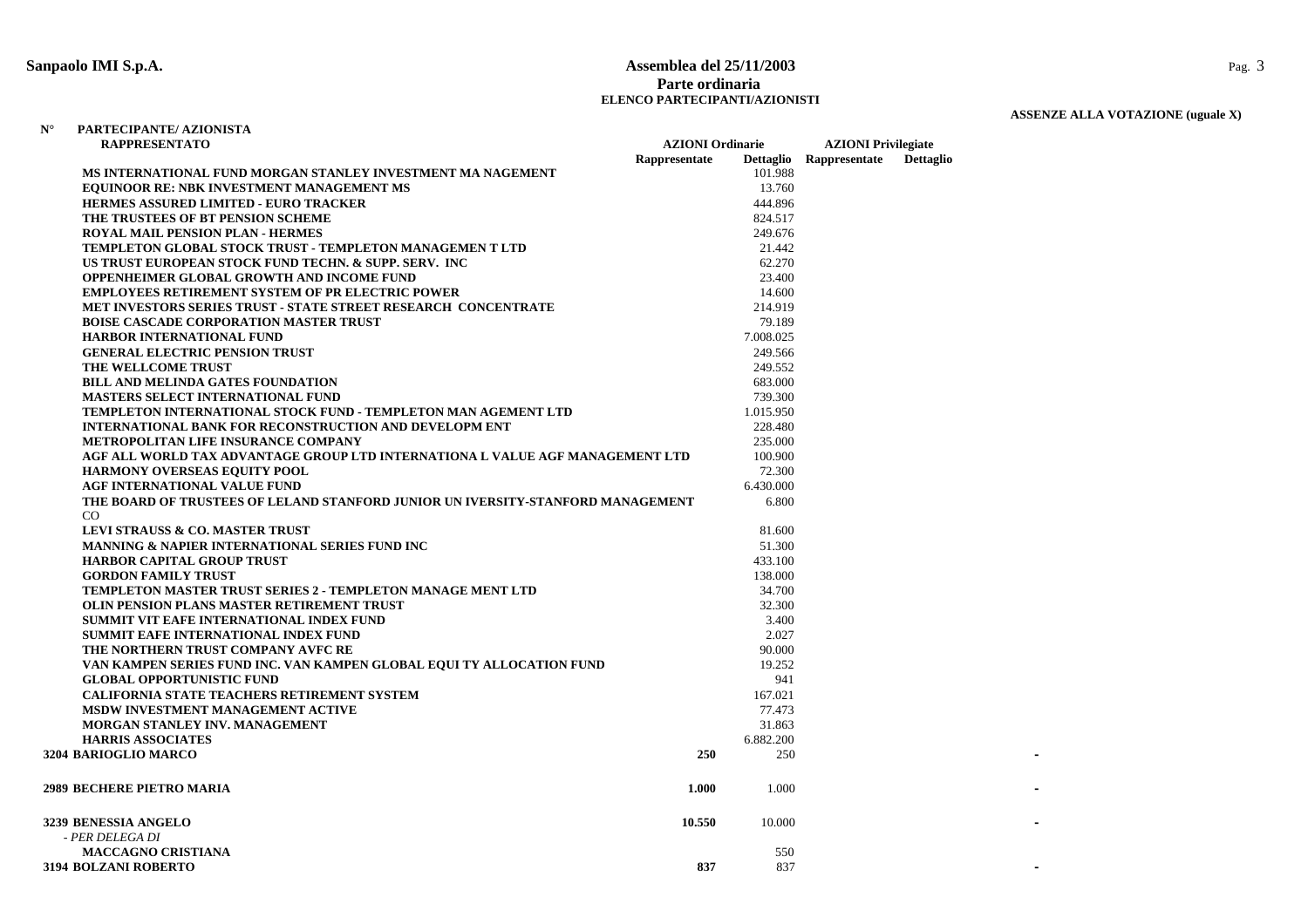#### **Sanpaolo IMI S.p.A. Assemblea del 25/11/2003** Pag. 3 **Parte ordinariaELENCO PARTECIPANTI/AZIONISTI**

### **ASSENZE ALLA VOTAZIONE (uguale X)**

| <b>RAPPRESENTATO</b>                                                            | <b>AZIONI</b> Ordinarie |           | <b>AZIONI</b> Privilegiate |                  |  |
|---------------------------------------------------------------------------------|-------------------------|-----------|----------------------------|------------------|--|
|                                                                                 | Rappresentate           |           | Dettaglio Rappresentate    | <b>Dettaglio</b> |  |
| MS INTERNATIONAL FUND MORGAN STANLEY INVESTMENT MA NAGEMENT                     |                         | 101.988   |                            |                  |  |
| <b>EQUINOOR RE: NBK INVESTMENT MANAGEMENT MS</b>                                |                         | 13.760    |                            |                  |  |
| <b>HERMES ASSURED LIMITED - EURO TRACKER</b>                                    |                         | 444.896   |                            |                  |  |
| THE TRUSTEES OF BT PENSION SCHEME                                               |                         | 824.517   |                            |                  |  |
| <b>ROYAL MAIL PENSION PLAN - HERMES</b>                                         |                         | 249.676   |                            |                  |  |
| <b>TEMPLETON GLOBAL STOCK TRUST - TEMPLETON MANAGEMEN T LTD</b>                 |                         | 21.442    |                            |                  |  |
| US TRUST EUROPEAN STOCK FUND TECHN. & SUPP. SERV. INC                           |                         | 62.270    |                            |                  |  |
| OPPENHEIMER GLOBAL GROWTH AND INCOME FUND                                       |                         | 23.400    |                            |                  |  |
| <b>EMPLOYEES RETIREMENT SYSTEM OF PR ELECTRIC POWER</b>                         |                         | 14.600    |                            |                  |  |
| MET INVESTORS SERIES TRUST - STATE STREET RESEARCH CONCENTRATE                  |                         | 214.919   |                            |                  |  |
| <b>BOISE CASCADE CORPORATION MASTER TRUST</b>                                   |                         | 79.189    |                            |                  |  |
| <b>HARBOR INTERNATIONAL FUND</b>                                                |                         | 7.008.025 |                            |                  |  |
| <b>GENERAL ELECTRIC PENSION TRUST</b>                                           |                         | 249.566   |                            |                  |  |
| THE WELLCOME TRUST                                                              |                         | 249.552   |                            |                  |  |
| <b>BILL AND MELINDA GATES FOUNDATION</b>                                        |                         | 683.000   |                            |                  |  |
| <b>MASTERS SELECT INTERNATIONAL FUND</b>                                        |                         | 739.300   |                            |                  |  |
| TEMPLETON INTERNATIONAL STOCK FUND - TEMPLETON MAN AGEMENT LTD                  |                         | 1.015.950 |                            |                  |  |
| INTERNATIONAL BANK FOR RECONSTRUCTION AND DEVELOPM ENT                          |                         | 228.480   |                            |                  |  |
| METROPOLITAN LIFE INSURANCE COMPANY                                             |                         | 235.000   |                            |                  |  |
| AGF ALL WORLD TAX ADVANTAGE GROUP LTD INTERNATIONA L VALUE AGF MANAGEMENT LTD   |                         | 100.900   |                            |                  |  |
| <b>HARMONY OVERSEAS EQUITY POOL</b>                                             |                         | 72.300    |                            |                  |  |
| AGF INTERNATIONAL VALUE FUND                                                    |                         | 6.430.000 |                            |                  |  |
| THE BOARD OF TRUSTEES OF LELAND STANFORD JUNIOR UN IVERSITY-STANFORD MANAGEMENT |                         | 6.800     |                            |                  |  |
| CO                                                                              |                         |           |                            |                  |  |
| <b>LEVI STRAUSS &amp; CO. MASTER TRUST</b>                                      |                         | 81.600    |                            |                  |  |
| <b>MANNING &amp; NAPIER INTERNATIONAL SERIES FUND INC</b>                       |                         | 51.300    |                            |                  |  |
| <b>HARBOR CAPITAL GROUP TRUST</b>                                               |                         | 433.100   |                            |                  |  |
| <b>GORDON FAMILY TRUST</b>                                                      |                         | 138.000   |                            |                  |  |
| <b>TEMPLETON MASTER TRUST SERIES 2 - TEMPLETON MANAGE MENT LTD</b>              |                         | 34.700    |                            |                  |  |
| OLIN PENSION PLANS MASTER RETIREMENT TRUST                                      |                         | 32.300    |                            |                  |  |
| SUMMIT VIT EAFE INTERNATIONAL INDEX FUND                                        |                         | 3.400     |                            |                  |  |
| SUMMIT EAFE INTERNATIONAL INDEX FUND                                            |                         | 2.027     |                            |                  |  |
| THE NORTHERN TRUST COMPANY AVFC RE                                              |                         | 90.000    |                            |                  |  |
| VAN KAMPEN SERIES FUND INC. VAN KAMPEN GLOBAL EQUI TY ALLOCATION FUND           |                         | 19.252    |                            |                  |  |
| <b>GLOBAL OPPORTUNISTIC FUND</b>                                                |                         | 941       |                            |                  |  |
| <b>CALIFORNIA STATE TEACHERS RETIREMENT SYSTEM</b>                              |                         | 167.021   |                            |                  |  |
| MSDW INVESTMENT MANAGEMENT ACTIVE                                               |                         | 77.473    |                            |                  |  |
| MORGAN STANLEY INV. MANAGEMENT                                                  |                         | 31.863    |                            |                  |  |
| <b>HARRIS ASSOCIATES</b>                                                        |                         | 6.882.200 |                            |                  |  |
| 3204 BARIOGLIO MARCO                                                            | 250                     | 250       |                            |                  |  |
|                                                                                 |                         |           |                            |                  |  |
| <b>2989 BECHERE PIETRO MARIA</b>                                                | 1.000                   | 1.000     |                            |                  |  |
|                                                                                 |                         |           |                            |                  |  |
| 3239 BENESSIA ANGELO                                                            | 10.550                  | 10.000    |                            |                  |  |
| - PER DELEGA DI                                                                 |                         |           |                            |                  |  |
| <b>MACCAGNO CRISTIANA</b>                                                       |                         | 550       |                            |                  |  |
| <b>3194 BOLZANI ROBERTO</b>                                                     | 837                     | 837       |                            |                  |  |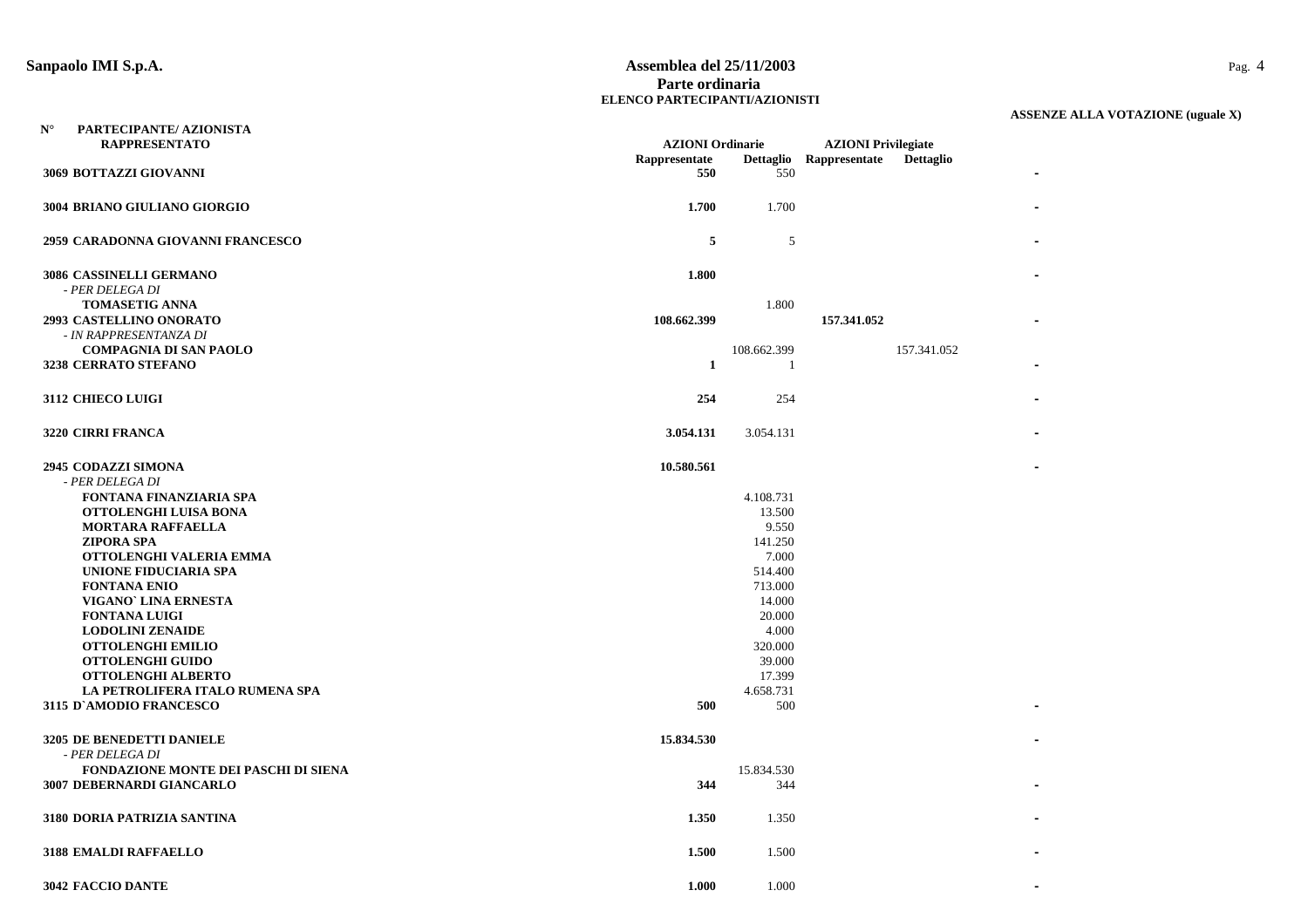#### **Sanpaolo IMI S.p.A. Assemblea del 25/11/2003** Pag. 4 **Parte ordinariaELENCO PARTECIPANTI/AZIONISTI**

| $\mathbf{N}^\circ$<br>PARTECIPANTE/ AZIONISTA<br><b>RAPPRESENTATO</b> | <b>AZIONI</b> Ordinarie |                  | <b>AZIONI</b> Privilegiate                  |  |
|-----------------------------------------------------------------------|-------------------------|------------------|---------------------------------------------|--|
|                                                                       | Rappresentate           |                  | Dettaglio Rappresentate<br><b>Dettaglio</b> |  |
| 3069 BOTTAZZI GIOVANNI                                                | 550                     | 550              |                                             |  |
| 3004 BRIANO GIULIANO GIORGIO                                          | 1.700                   | 1.700            |                                             |  |
| 2959 CARADONNA GIOVANNI FRANCESCO                                     | 5                       | 5                |                                             |  |
| 3086 CASSINELLI GERMANO                                               | 1.800                   |                  |                                             |  |
| - PER DELEGA DI                                                       |                         |                  |                                             |  |
| <b>TOMASETIG ANNA</b>                                                 |                         | 1.800            |                                             |  |
| 2993 CASTELLINO ONORATO                                               | 108.662.399             |                  | 157.341.052                                 |  |
| - IN RAPPRESENTANZA DI                                                |                         |                  |                                             |  |
| <b>COMPAGNIA DI SAN PAOLO</b>                                         |                         | 108.662.399      | 157.341.052                                 |  |
| 3238 CERRATO STEFANO                                                  | $\mathbf{1}$            | -1               |                                             |  |
| <b>3112 CHIECO LUIGI</b>                                              | 254                     | 254              |                                             |  |
| 3220 CIRRI FRANCA                                                     | 3.054.131               | 3.054.131        |                                             |  |
| <b>2945 CODAZZI SIMONA</b>                                            | 10.580.561              |                  |                                             |  |
| - PER DELEGA DI                                                       |                         |                  |                                             |  |
| FONTANA FINANZIARIA SPA                                               |                         | 4.108.731        |                                             |  |
| OTTOLENGHI LUISA BONA                                                 |                         | 13.500           |                                             |  |
| <b>MORTARA RAFFAELLA</b>                                              |                         | 9.550            |                                             |  |
| <b>ZIPORA SPA</b>                                                     |                         | 141.250          |                                             |  |
| OTTOLENGHI VALERIA EMMA                                               |                         | 7.000            |                                             |  |
| UNIONE FIDUCIARIA SPA                                                 |                         | 514.400          |                                             |  |
| <b>FONTANA ENIO</b>                                                   |                         | 713.000          |                                             |  |
| VIGANO' LINA ERNESTA                                                  |                         | 14.000           |                                             |  |
| <b>FONTANA LUIGI</b>                                                  |                         | 20.000           |                                             |  |
| <b>LODOLINI ZENAIDE</b>                                               |                         | 4.000            |                                             |  |
| <b>OTTOLENGHI EMILIO</b>                                              |                         | 320.000          |                                             |  |
| <b>OTTOLENGHI GUIDO</b>                                               |                         | 39.000           |                                             |  |
| <b>OTTOLENGHI ALBERTO</b>                                             |                         | 17.399           |                                             |  |
| LA PETROLIFERA ITALO RUMENA SPA<br>3115 D'AMODIO FRANCESCO            | 500                     | 4.658.731<br>500 |                                             |  |
|                                                                       |                         |                  |                                             |  |
| 3205 DE BENEDETTI DANIELE                                             | 15.834.530              |                  |                                             |  |
| - PER DELEGA DI                                                       |                         |                  |                                             |  |
| <b>FONDAZIONE MONTE DEI PASCHI DI SIENA</b>                           |                         | 15.834.530       |                                             |  |
| 3007 DEBERNARDI GIANCARLO                                             | 344                     | 344              |                                             |  |
| 3180 DORIA PATRIZIA SANTINA                                           | 1.350                   | 1.350            |                                             |  |
| 3188 EMALDI RAFFAELLO                                                 | 1.500                   | 1.500            |                                             |  |
| <b>3042 FACCIO DANTE</b>                                              | 1.000                   | 1.000            |                                             |  |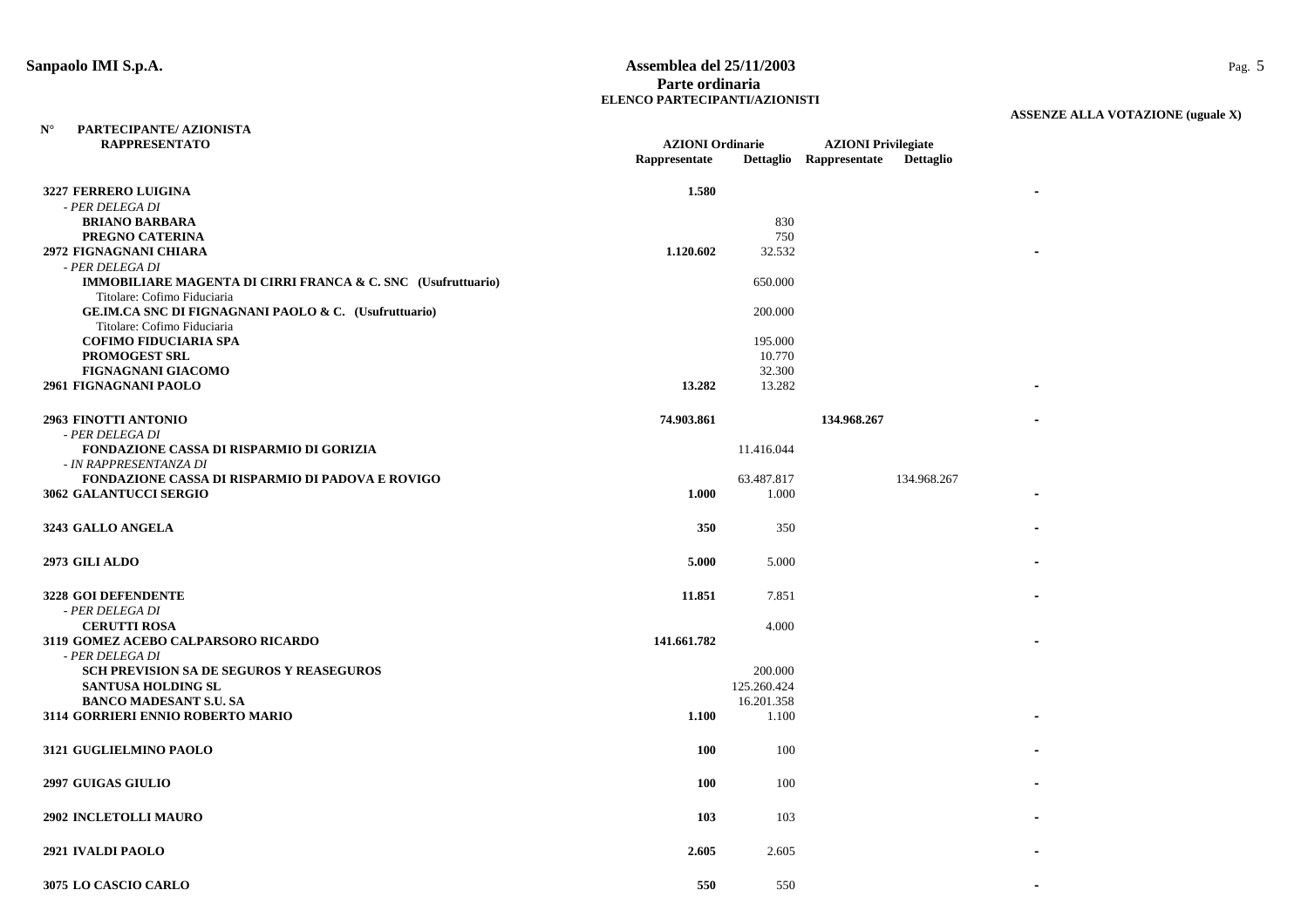#### **Sanpaolo IMI S.p.A. Assemblea del 25/11/2003** Pag. 5 **Parte ordinariaELENCO PARTECIPANTI/AZIONISTI**

| $N^{\circ}$<br>PARTECIPANTE/ AZIONISTA                                  |                         |             |                            |                  |  |
|-------------------------------------------------------------------------|-------------------------|-------------|----------------------------|------------------|--|
| <b>RAPPRESENTATO</b>                                                    | <b>AZIONI</b> Ordinarie |             | <b>AZIONI Privilegiate</b> |                  |  |
|                                                                         | Rappresentate           |             | Dettaglio Rappresentate    | <b>Dettaglio</b> |  |
| 3227 FERRERO LUIGINA                                                    | 1.580                   |             |                            |                  |  |
| - PER DELEGA DI                                                         |                         |             |                            |                  |  |
| <b>BRIANO BARBARA</b>                                                   |                         | 830         |                            |                  |  |
| PREGNO CATERINA                                                         |                         | 750         |                            |                  |  |
| 2972 FIGNAGNANI CHIARA                                                  | 1.120.602               | 32.532      |                            |                  |  |
| - PER DELEGA DI                                                         |                         |             |                            |                  |  |
| <b>IMMOBILIARE MAGENTA DI CIRRI FRANCA &amp; C. SNC</b> (Usufruttuario) |                         | 650.000     |                            |                  |  |
| Titolare: Cofimo Fiduciaria                                             |                         |             |                            |                  |  |
| GE.IM.CA SNC DI FIGNAGNANI PAOLO & C. (Usufruttuario)                   |                         | 200.000     |                            |                  |  |
| Titolare: Cofimo Fiduciaria                                             |                         |             |                            |                  |  |
| <b>COFIMO FIDUCIARIA SPA</b>                                            |                         | 195.000     |                            |                  |  |
| PROMOGEST SRL                                                           |                         | 10.770      |                            |                  |  |
| <b>FIGNAGNANI GIACOMO</b>                                               |                         | 32.300      |                            |                  |  |
| 2961 FIGNAGNANI PAOLO                                                   | 13.282                  | 13.282      |                            |                  |  |
|                                                                         |                         |             |                            |                  |  |
| 2963 FINOTTI ANTONIO                                                    | 74.903.861              |             | 134.968.267                |                  |  |
| - PER DELEGA DI                                                         |                         |             |                            |                  |  |
| FONDAZIONE CASSA DI RISPARMIO DI GORIZIA                                |                         | 11.416.044  |                            |                  |  |
| - IN RAPPRESENTANZA DI                                                  |                         |             |                            |                  |  |
| <b>FONDAZIONE CASSA DI RISPARMIO DI PADOVA E ROVIGO</b>                 |                         | 63.487.817  |                            | 134.968.267      |  |
| 3062 GALANTUCCI SERGIO                                                  | 1.000                   | 1.000       |                            |                  |  |
|                                                                         |                         |             |                            |                  |  |
| 3243 GALLO ANGELA                                                       | 350                     | 350         |                            |                  |  |
|                                                                         |                         |             |                            |                  |  |
| 2973 GILI ALDO                                                          | 5.000                   | 5.000       |                            |                  |  |
|                                                                         |                         |             |                            |                  |  |
| 3228 GOI DEFENDENTE                                                     | 11.851                  | 7.851       |                            |                  |  |
| - PER DELEGA DI                                                         |                         |             |                            |                  |  |
| <b>CERUTTI ROSA</b>                                                     |                         | 4.000       |                            |                  |  |
| 3119 GOMEZ ACEBO CALPARSORO RICARDO                                     | 141.661.782             |             |                            |                  |  |
| - PER DELEGA DI                                                         |                         |             |                            |                  |  |
| <b>SCH PREVISION SA DE SEGUROS Y REASEGUROS</b>                         |                         | 200.000     |                            |                  |  |
| <b>SANTUSA HOLDING SL</b>                                               |                         | 125.260.424 |                            |                  |  |
| <b>BANCO MADESANT S.U. SA</b>                                           |                         | 16.201.358  |                            |                  |  |
| 3114 GORRIERI ENNIO ROBERTO MARIO                                       | 1.100                   | 1.100       |                            |                  |  |
| 3121 GUGLIELMINO PAOLO                                                  | <b>100</b>              | 100         |                            |                  |  |
|                                                                         |                         |             |                            |                  |  |
| <b>2997 GUIGAS GIULIO</b>                                               | <b>100</b>              | 100         |                            |                  |  |
|                                                                         |                         |             |                            |                  |  |
| 2902 INCLETOLLI MAURO                                                   | 103                     | 103         |                            |                  |  |
| 2921 IVALDI PAOLO                                                       | 2.605                   | 2.605       |                            |                  |  |
|                                                                         |                         |             |                            |                  |  |
| 3075 LO CASCIO CARLO                                                    | 550                     | 550         |                            |                  |  |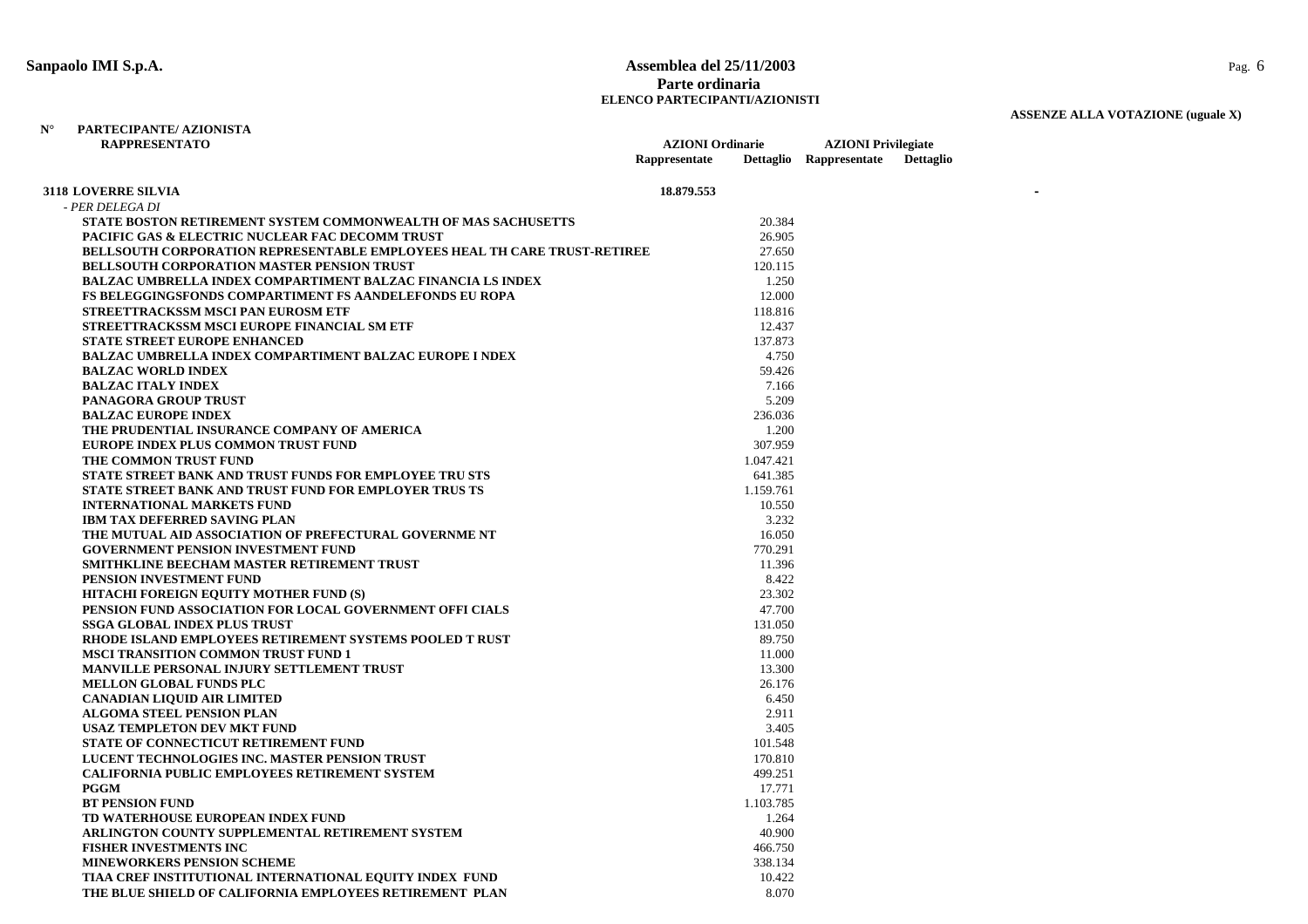**PARTECIPANTE/ AZIONISTA**

**N°**

#### **Sanpaolo IMI S.p.A. Assemblea del 25/11/2003** Pag. 6 **Parte ordinariaELENCO PARTECIPANTI/AZIONISTI**

| <b>RAPPRESENTATO</b>                                                            | <b>AZIONI</b> Ordinarie |           | <b>AZIONI Privilegiate</b> |                  |
|---------------------------------------------------------------------------------|-------------------------|-----------|----------------------------|------------------|
|                                                                                 | Rappresentate           |           | Dettaglio Rappresentate    | <b>Dettaglio</b> |
| <b>3118 LOVERRE SILVIA</b>                                                      | 18.879.553              |           |                            |                  |
| - PER DELEGA DI                                                                 |                         |           |                            |                  |
| STATE BOSTON RETIREMENT SYSTEM COMMONWEALTH OF MAS SACHUSETTS                   |                         | 20.384    |                            |                  |
| PACIFIC GAS & ELECTRIC NUCLEAR FAC DECOMM TRUST                                 |                         | 26.905    |                            |                  |
| <b>BELLSOUTH CORPORATION REPRESENTABLE EMPLOYEES HEAL TH CARE TRUST-RETIREE</b> |                         | 27.650    |                            |                  |
| BELLSOUTH CORPORATION MASTER PENSION TRUST                                      |                         | 120.115   |                            |                  |
| <b>BALZAC UMBRELLA INDEX COMPARTIMENT BALZAC FINANCIA LS INDEX</b>              |                         | 1.250     |                            |                  |
| <b>FS BELEGGINGSFONDS COMPARTIMENT FS AANDELEFONDS EU ROPA</b>                  |                         | 12.000    |                            |                  |
| STREETTRACKSSM MSCI PAN EUROSM ETF                                              |                         | 118.816   |                            |                  |
| STREETTRACKSSM MSCI EUROPE FINANCIAL SM ETF                                     |                         | 12.437    |                            |                  |
| <b>STATE STREET EUROPE ENHANCED</b>                                             |                         | 137.873   |                            |                  |
| <b>BALZAC UMBRELLA INDEX COMPARTIMENT BALZAC EUROPE I NDEX</b>                  |                         | 4.750     |                            |                  |
| <b>BALZAC WORLD INDEX</b>                                                       |                         | 59.426    |                            |                  |
| <b>BALZAC ITALY INDEX</b>                                                       |                         | 7.166     |                            |                  |
| <b>PANAGORA GROUP TRUST</b>                                                     |                         | 5.209     |                            |                  |
| <b>BALZAC EUROPE INDEX</b>                                                      |                         | 236.036   |                            |                  |
| THE PRUDENTIAL INSURANCE COMPANY OF AMERICA                                     |                         | 1.200     |                            |                  |
| EUROPE INDEX PLUS COMMON TRUST FUND                                             |                         | 307.959   |                            |                  |
| THE COMMON TRUST FUND                                                           |                         | 1.047.421 |                            |                  |
| STATE STREET BANK AND TRUST FUNDS FOR EMPLOYEE TRU STS                          |                         | 641.385   |                            |                  |
| <b>STATE STREET BANK AND TRUST FUND FOR EMPLOYER TRUS TS</b>                    |                         | 1.159.761 |                            |                  |
| <b>INTERNATIONAL MARKETS FUND</b>                                               |                         | 10.550    |                            |                  |
| <b>IBM TAX DEFERRED SAVING PLAN</b>                                             |                         | 3.232     |                            |                  |
| THE MUTUAL AID ASSOCIATION OF PREFECTURAL GOVERNME NT                           |                         | 16.050    |                            |                  |
| <b>GOVERNMENT PENSION INVESTMENT FUND</b>                                       |                         | 770.291   |                            |                  |
| SMITHKLINE BEECHAM MASTER RETIREMENT TRUST                                      |                         | 11.396    |                            |                  |
| PENSION INVESTMENT FUND                                                         |                         | 8.422     |                            |                  |
| HITACHI FOREIGN EQUITY MOTHER FUND (S)                                          |                         | 23.302    |                            |                  |
| PENSION FUND ASSOCIATION FOR LOCAL GOVERNMENT OFFI CIALS                        |                         | 47.700    |                            |                  |
| <b>SSGA GLOBAL INDEX PLUS TRUST</b>                                             |                         | 131.050   |                            |                  |
| RHODE ISLAND EMPLOYEES RETIREMENT SYSTEMS POOLED T RUST                         |                         | 89.750    |                            |                  |
| <b>MSCI TRANSITION COMMON TRUST FUND 1</b>                                      |                         | 11.000    |                            |                  |
| <b>MANVILLE PERSONAL INJURY SETTLEMENT TRUST</b>                                |                         | 13.300    |                            |                  |
| <b>MELLON GLOBAL FUNDS PLC</b>                                                  |                         | 26.176    |                            |                  |
| <b>CANADIAN LIQUID AIR LIMITED</b>                                              |                         | 6.450     |                            |                  |
| <b>ALGOMA STEEL PENSION PLAN</b>                                                |                         | 2.911     |                            |                  |
| <b>USAZ TEMPLETON DEV MKT FUND</b>                                              |                         | 3.405     |                            |                  |
| STATE OF CONNECTICUT RETIREMENT FUND                                            |                         | 101.548   |                            |                  |
| LUCENT TECHNOLOGIES INC. MASTER PENSION TRUST                                   |                         | 170.810   |                            |                  |
| <b>CALIFORNIA PUBLIC EMPLOYEES RETIREMENT SYSTEM</b>                            |                         | 499.251   |                            |                  |
| <b>PGGM</b>                                                                     |                         | 17.771    |                            |                  |
| <b>BT PENSION FUND</b>                                                          |                         | 1.103.785 |                            |                  |
| TD WATERHOUSE EUROPEAN INDEX FUND                                               |                         | 1.264     |                            |                  |
| ARLINGTON COUNTY SUPPLEMENTAL RETIREMENT SYSTEM                                 |                         | 40.900    |                            |                  |
| <b>FISHER INVESTMENTS INC</b>                                                   |                         |           |                            |                  |
|                                                                                 |                         | 466.750   |                            |                  |
| <b>MINEWORKERS PENSION SCHEME</b>                                               |                         | 338.134   |                            |                  |
| TIAA CREF INSTITUTIONAL INTERNATIONAL EQUITY INDEX FUND                         |                         | 10.422    |                            |                  |
| THE BLUE SHIELD OF CALIFORNIA EMPLOYEES RETIREMENT PLAN                         |                         | 8.070     |                            |                  |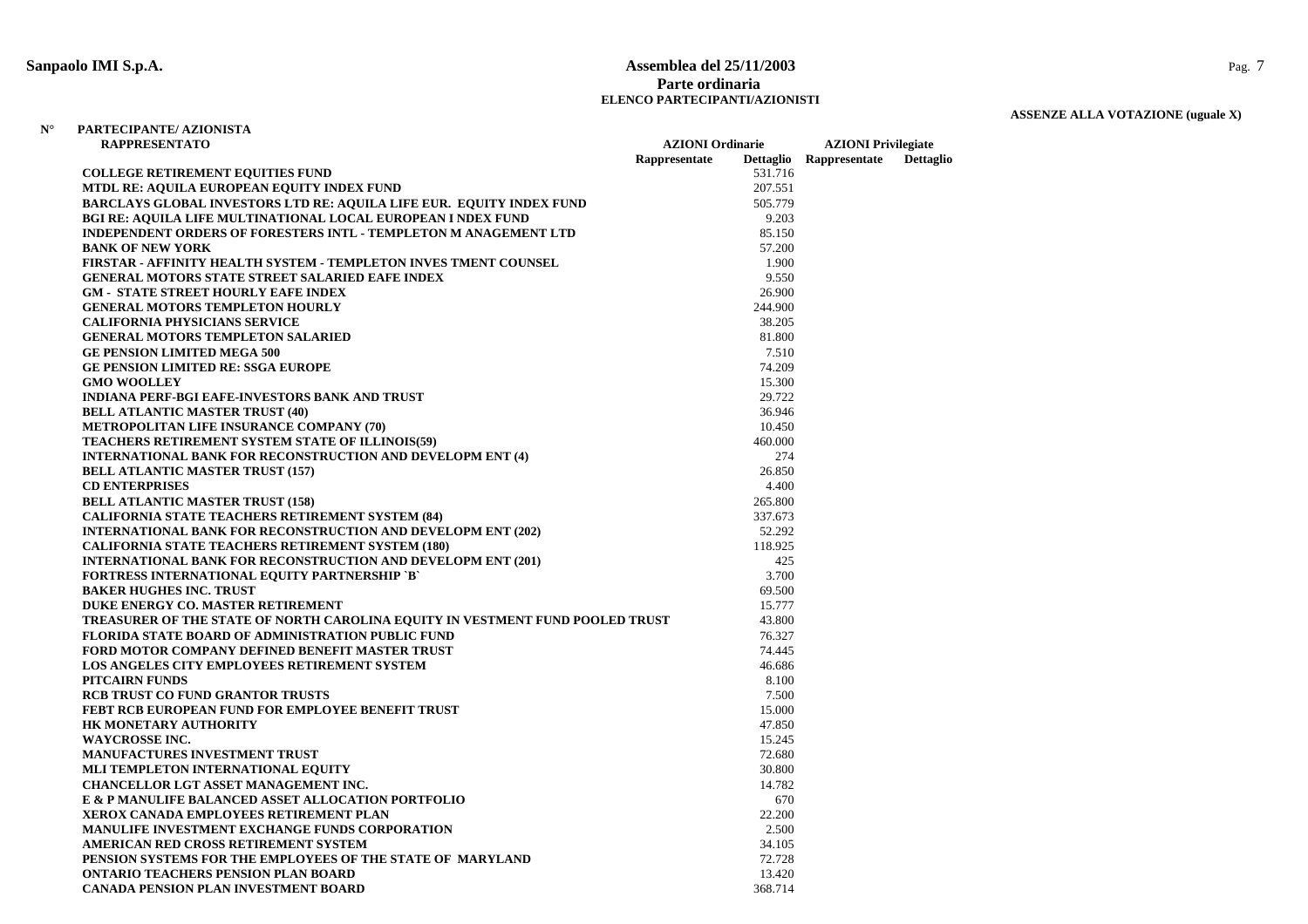#### **Sanpaolo IMI S.p.A. Assemblea del 25/11/2003** Pag. 7 **Parte ordinariaELENCO PARTECIPANTI/AZIONISTI**

### **ASSENZE ALLA VOTAZIONE (uguale X)**

| <b>RAPPRESENTATO</b><br><b>AZIONI Ordinarie</b>                               |               |         | <b>AZIONI</b> Privilegiate |                  |
|-------------------------------------------------------------------------------|---------------|---------|----------------------------|------------------|
|                                                                               | Rappresentate |         | Dettaglio Rappresentate    | <b>Dettaglio</b> |
| <b>COLLEGE RETIREMENT EQUITIES FUND</b>                                       |               | 531.716 |                            |                  |
| MTDL RE: AQUILA EUROPEAN EQUITY INDEX FUND                                    |               | 207.551 |                            |                  |
| <b>BARCLAYS GLOBAL INVESTORS LTD RE: AQUILA LIFE EUR. EQUITY INDEX FUND</b>   |               | 505.779 |                            |                  |
| <b>BGI RE: AQUILA LIFE MULTINATIONAL LOCAL EUROPEAN I NDEX FUND</b>           |               | 9.203   |                            |                  |
| INDEPENDENT ORDERS OF FORESTERS INTL - TEMPLETON M ANAGEMENT LTD              |               | 85.150  |                            |                  |
| <b>BANK OF NEW YORK</b>                                                       |               | 57.200  |                            |                  |
| FIRSTAR - AFFINITY HEALTH SYSTEM - TEMPLETON INVES TMENT COUNSEL              |               | 1.900   |                            |                  |
| <b>GENERAL MOTORS STATE STREET SALARIED EAFE INDEX</b>                        |               | 9.550   |                            |                  |
| <b>GM - STATE STREET HOURLY EAFE INDEX</b>                                    |               | 26.900  |                            |                  |
| <b>GENERAL MOTORS TEMPLETON HOURLY</b>                                        |               | 244.900 |                            |                  |
| <b>CALIFORNIA PHYSICIANS SERVICE</b>                                          |               | 38.205  |                            |                  |
| <b>GENERAL MOTORS TEMPLETON SALARIED</b>                                      |               | 81.800  |                            |                  |
| <b>GE PENSION LIMITED MEGA 500</b>                                            |               | 7.510   |                            |                  |
| <b>GE PENSION LIMITED RE: SSGA EUROPE</b>                                     |               | 74.209  |                            |                  |
| <b>GMO WOOLLEY</b>                                                            |               | 15.300  |                            |                  |
| <b>INDIANA PERF-BGI EAFE-INVESTORS BANK AND TRUST</b>                         |               | 29.722  |                            |                  |
| <b>BELL ATLANTIC MASTER TRUST (40)</b>                                        |               | 36.946  |                            |                  |
| <b>METROPOLITAN LIFE INSURANCE COMPANY (70)</b>                               |               | 10.450  |                            |                  |
| <b>TEACHERS RETIREMENT SYSTEM STATE OF ILLINOIS(59)</b>                       |               | 460.000 |                            |                  |
| <b>INTERNATIONAL BANK FOR RECONSTRUCTION AND DEVELOPM ENT (4)</b>             |               | 274     |                            |                  |
| <b>BELL ATLANTIC MASTER TRUST (157)</b>                                       |               | 26.850  |                            |                  |
| <b>CD ENTERPRISES</b>                                                         |               | 4.400   |                            |                  |
| <b>BELL ATLANTIC MASTER TRUST (158)</b>                                       |               | 265.800 |                            |                  |
| <b>CALIFORNIA STATE TEACHERS RETIREMENT SYSTEM (84)</b>                       |               | 337.673 |                            |                  |
| <b>INTERNATIONAL BANK FOR RECONSTRUCTION AND DEVELOPM ENT (202)</b>           |               | 52.292  |                            |                  |
| <b>CALIFORNIA STATE TEACHERS RETIREMENT SYSTEM (180)</b>                      |               | 118.925 |                            |                  |
| <b>INTERNATIONAL BANK FOR RECONSTRUCTION AND DEVELOPM ENT (201)</b>           |               | 425     |                            |                  |
| <b>FORTRESS INTERNATIONAL EQUITY PARTNERSHIP `B`</b>                          |               | 3.700   |                            |                  |
| <b>BAKER HUGHES INC. TRUST</b>                                                |               | 69.500  |                            |                  |
| DUKE ENERGY CO. MASTER RETIREMENT                                             |               | 15.777  |                            |                  |
| TREASURER OF THE STATE OF NORTH CAROLINA EQUITY IN VESTMENT FUND POOLED TRUST |               | 43.800  |                            |                  |
| <b>FLORIDA STATE BOARD OF ADMINISTRATION PUBLIC FUND</b>                      |               | 76.327  |                            |                  |
| FORD MOTOR COMPANY DEFINED BENEFIT MASTER TRUST                               |               | 74.445  |                            |                  |
| LOS ANGELES CITY EMPLOYEES RETIREMENT SYSTEM                                  |               | 46.686  |                            |                  |
| <b>PITCAIRN FUNDS</b>                                                         |               | 8.100   |                            |                  |
| <b>RCB TRUST CO FUND GRANTOR TRUSTS</b>                                       |               | 7.500   |                            |                  |
| <b>FEBT RCB EUROPEAN FUND FOR EMPLOYEE BENEFIT TRUST</b>                      |               | 15.000  |                            |                  |
| <b>HK MONETARY AUTHORITY</b>                                                  |               | 47.850  |                            |                  |
| <b>WAYCROSSE INC.</b>                                                         |               | 15.245  |                            |                  |
| MANUFACTURES INVESTMENT TRUST                                                 |               | 72.680  |                            |                  |
| MLI TEMPLETON INTERNATIONAL EQUITY                                            |               | 30.800  |                            |                  |
| <b>CHANCELLOR LGT ASSET MANAGEMENT INC.</b>                                   |               | 14.782  |                            |                  |
| E & P MANULIFE BALANCED ASSET ALLOCATION PORTFOLIO                            |               | 670     |                            |                  |
| XEROX CANADA EMPLOYEES RETIREMENT PLAN                                        |               | 22.200  |                            |                  |
| <b>MANULIFE INVESTMENT EXCHANGE FUNDS CORPORATION</b>                         |               | 2.500   |                            |                  |
| AMERICAN RED CROSS RETIREMENT SYSTEM                                          |               | 34.105  |                            |                  |
| PENSION SYSTEMS FOR THE EMPLOYEES OF THE STATE OF MARYLAND                    |               | 72.728  |                            |                  |
| <b>ONTARIO TEACHERS PENSION PLAN BOARD</b>                                    |               | 13.420  |                            |                  |
| CANADA PENSION PLAN INVESTMENT BOARD                                          |               | 368.714 |                            |                  |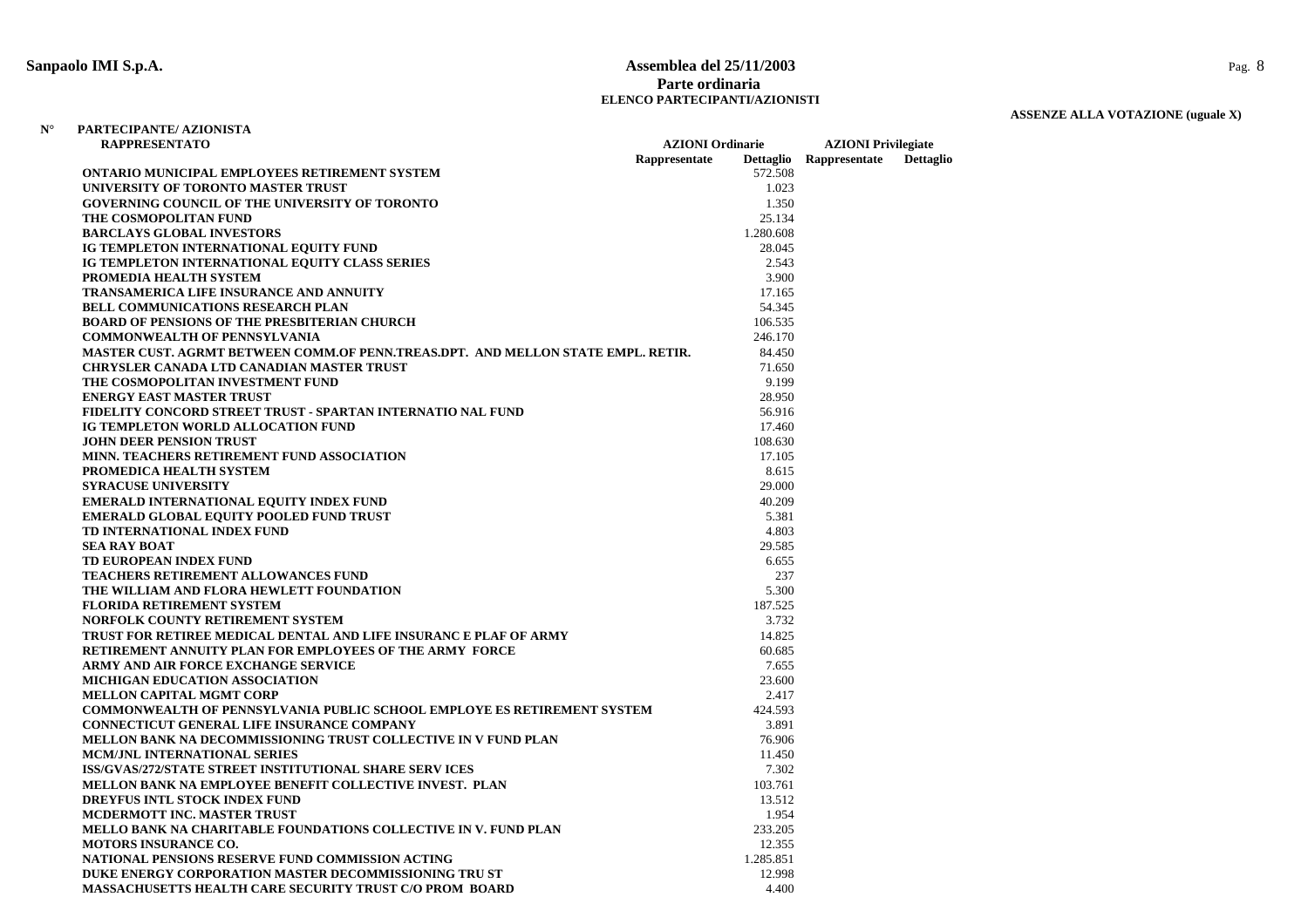#### **Sanpaolo IMI S.p.A. Assemblea del 25/11/2003** Pag. 8 **Parte ordinariaELENCO PARTECIPANTI/AZIONISTI**

# **ASSENZE ALLA VOTAZIONE (uguale X)**

| <b>RAPPRESENTATO</b>                                                             |               | <b>AZIONI Ordinarie</b> |                         | <b>AZIONI</b> Privilegiate |  |
|----------------------------------------------------------------------------------|---------------|-------------------------|-------------------------|----------------------------|--|
|                                                                                  | Rappresentate |                         | Dettaglio Rappresentate | Dettaglio                  |  |
| ONTARIO MUNICIPAL EMPLOYEES RETIREMENT SYSTEM                                    |               | 572.508                 |                         |                            |  |
| UNIVERSITY OF TORONTO MASTER TRUST                                               |               | 1.023                   |                         |                            |  |
| <b>GOVERNING COUNCIL OF THE UNIVERSITY OF TORONTO</b>                            |               | 1.350                   |                         |                            |  |
| THE COSMOPOLITAN FUND                                                            |               | 25.134                  |                         |                            |  |
| <b>BARCLAYS GLOBAL INVESTORS</b>                                                 |               | 1.280.608               |                         |                            |  |
| IG TEMPLETON INTERNATIONAL EQUITY FUND                                           |               | 28.045                  |                         |                            |  |
| IG TEMPLETON INTERNATIONAL EQUITY CLASS SERIES                                   |               | 2.543                   |                         |                            |  |
| PROMEDIA HEALTH SYSTEM                                                           |               | 3.900                   |                         |                            |  |
| <b>TRANSAMERICA LIFE INSURANCE AND ANNUITY</b>                                   |               | 17.165                  |                         |                            |  |
| <b>BELL COMMUNICATIONS RESEARCH PLAN</b>                                         |               | 54.345                  |                         |                            |  |
| <b>BOARD OF PENSIONS OF THE PRESBITERIAN CHURCH</b>                              |               | 106.535                 |                         |                            |  |
| <b>COMMONWEALTH OF PENNSYLVANIA</b>                                              |               | 246.170                 |                         |                            |  |
| MASTER CUST. AGRMT BETWEEN COMM.OF PENN.TREAS.DPT. AND MELLON STATE EMPL. RETIR. |               | 84.450                  |                         |                            |  |
| <b>CHRYSLER CANADA LTD CANADIAN MASTER TRUST</b>                                 |               | 71.650                  |                         |                            |  |
| THE COSMOPOLITAN INVESTMENT FUND                                                 |               | 9.199                   |                         |                            |  |
| <b>ENERGY EAST MASTER TRUST</b>                                                  |               | 28.950                  |                         |                            |  |
| FIDELITY CONCORD STREET TRUST - SPARTAN INTERNATIO NAL FUND                      |               | 56.916                  |                         |                            |  |
| IG TEMPLETON WORLD ALLOCATION FUND                                               |               | 17.460                  |                         |                            |  |
| <b>JOHN DEER PENSION TRUST</b>                                                   |               | 108.630                 |                         |                            |  |
| MINN. TEACHERS RETIREMENT FUND ASSOCIATION                                       |               | 17.105                  |                         |                            |  |
| PROMEDICA HEALTH SYSTEM                                                          |               | 8.615                   |                         |                            |  |
| <b>SYRACUSE UNIVERSITY</b>                                                       |               | 29.000                  |                         |                            |  |
| <b>EMERALD INTERNATIONAL EQUITY INDEX FUND</b>                                   |               | 40.209                  |                         |                            |  |
| <b>EMERALD GLOBAL EQUITY POOLED FUND TRUST</b>                                   |               | 5.381                   |                         |                            |  |
| TD INTERNATIONAL INDEX FUND                                                      |               | 4.803                   |                         |                            |  |
| <b>SEA RAY BOAT</b>                                                              |               | 29.585                  |                         |                            |  |
| TD EUROPEAN INDEX FUND                                                           |               | 6.655                   |                         |                            |  |
| TEACHERS RETIREMENT ALLOWANCES FUND                                              |               | 237                     |                         |                            |  |
| THE WILLIAM AND FLORA HEWLETT FOUNDATION                                         |               | 5.300                   |                         |                            |  |
| <b>FLORIDA RETIREMENT SYSTEM</b>                                                 |               | 187.525                 |                         |                            |  |
| NORFOLK COUNTY RETIREMENT SYSTEM                                                 |               | 3.732                   |                         |                            |  |
| TRUST FOR RETIREE MEDICAL DENTAL AND LIFE INSURANC E PLAF OF ARMY                |               | 14.825                  |                         |                            |  |
| RETIREMENT ANNUITY PLAN FOR EMPLOYEES OF THE ARMY FORCE                          |               | 60.685                  |                         |                            |  |
| ARMY AND AIR FORCE EXCHANGE SERVICE                                              |               | 7.655                   |                         |                            |  |
| MICHIGAN EDUCATION ASSOCIATION                                                   |               | 23.600                  |                         |                            |  |
| <b>MELLON CAPITAL MGMT CORP</b>                                                  |               | 2.417                   |                         |                            |  |
| <b>COMMONWEALTH OF PENNSYLVANIA PUBLIC SCHOOL EMPLOYE ES RETIREMENT SYSTEM</b>   |               | 424.593                 |                         |                            |  |
| <b>CONNECTICUT GENERAL LIFE INSURANCE COMPANY</b>                                |               | 3.891                   |                         |                            |  |
| MELLON BANK NA DECOMMISSIONING TRUST COLLECTIVE IN V FUND PLAN                   |               | 76.906                  |                         |                            |  |
| <b>MCM/JNL INTERNATIONAL SERIES</b>                                              |               | 11.450                  |                         |                            |  |
| ISS/GVAS/272/STATE STREET INSTITUTIONAL SHARE SERV ICES                          |               | 7.302                   |                         |                            |  |
| MELLON BANK NA EMPLOYEE BENEFIT COLLECTIVE INVEST. PLAN                          |               | 103.761                 |                         |                            |  |
| <b>DREYFUS INTL STOCK INDEX FUND</b>                                             |               | 13.512                  |                         |                            |  |
| <b>MCDERMOTT INC. MASTER TRUST</b>                                               |               | 1.954                   |                         |                            |  |
| MELLO BANK NA CHARITABLE FOUNDATIONS COLLECTIVE IN V. FUND PLAN                  |               | 233.205                 |                         |                            |  |
| <b>MOTORS INSURANCE CO.</b>                                                      |               | 12.355                  |                         |                            |  |
| NATIONAL PENSIONS RESERVE FUND COMMISSION ACTING                                 |               | 1.285.851               |                         |                            |  |
| DUKE ENERGY CORPORATION MASTER DECOMMISSIONING TRU ST                            |               | 12.998                  |                         |                            |  |
| <b>MASSACHUSETTS HEALTH CARE SECURITY TRUST C/O PROM BOARD</b>                   |               | 4.400                   |                         |                            |  |
|                                                                                  |               |                         |                         |                            |  |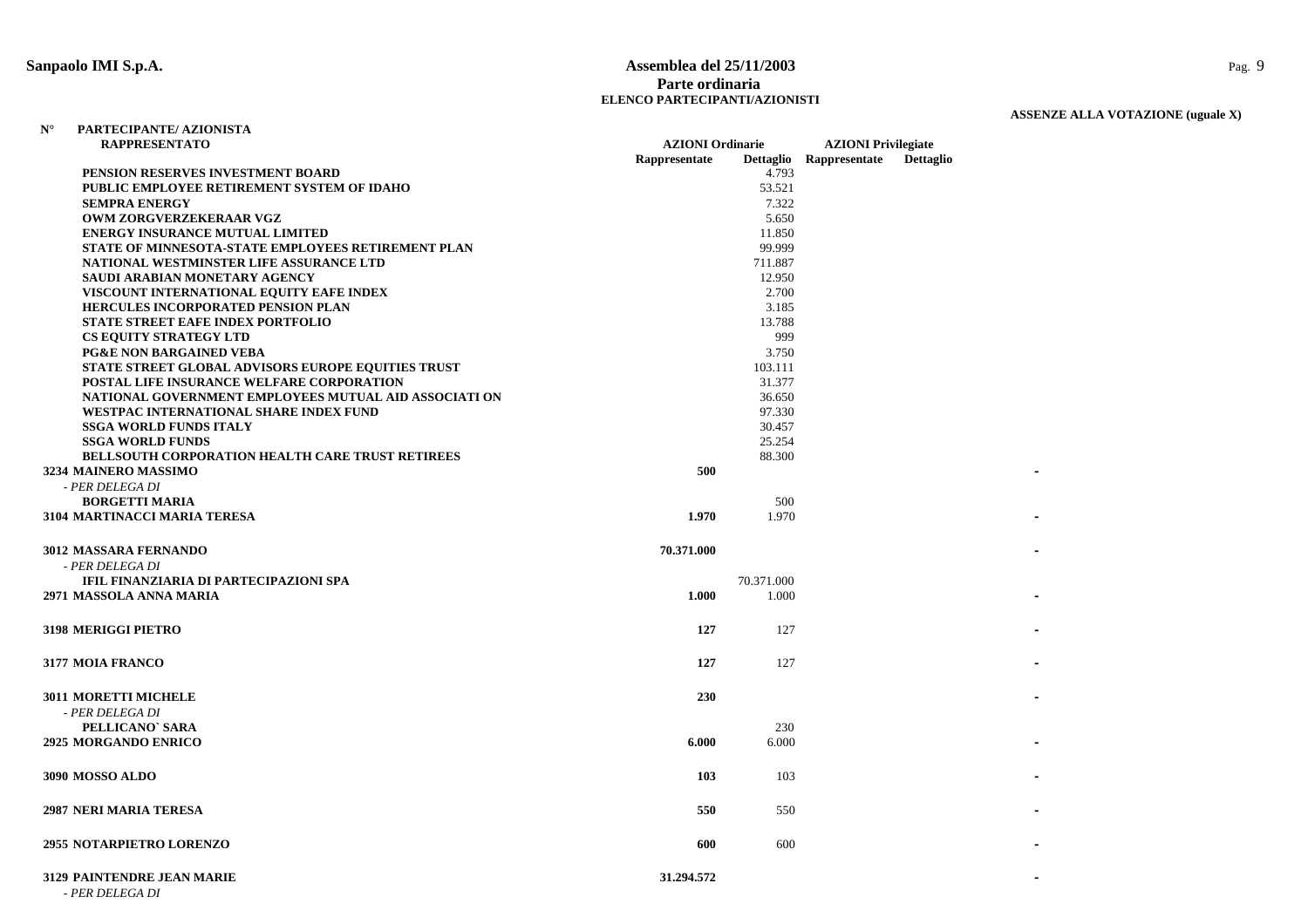# **Sanpaolo IMI S.p.A. Assemblea del 25/11/2003** Pag. 9 **Parte ordinaria ELENCO PARTECIPANTI/AZIONISTI**

| $N^{\circ}$ | PARTECIPANTE/AZIONISTA |
|-------------|------------------------|
|             | D A DDDECENTRATO       |

| <b>RAPPRESENTATO</b>                                      | <b>AZIONI</b> Ordinarie |            | <b>AZIONI Privilegiate</b> |                  |  |
|-----------------------------------------------------------|-------------------------|------------|----------------------------|------------------|--|
|                                                           | Rappresentate           |            | Dettaglio Rappresentate    | <b>Dettaglio</b> |  |
| PENSION RESERVES INVESTMENT BOARD                         |                         | 4.793      |                            |                  |  |
| PUBLIC EMPLOYEE RETIREMENT SYSTEM OF IDAHO                |                         | 53.521     |                            |                  |  |
| <b>SEMPRA ENERGY</b>                                      |                         | 7.322      |                            |                  |  |
| OWM ZORGVERZEKERAAR VGZ                                   |                         | 5.650      |                            |                  |  |
| <b>ENERGY INSURANCE MUTUAL LIMITED</b>                    |                         | 11.850     |                            |                  |  |
| STATE OF MINNESOTA-STATE EMPLOYEES RETIREMENT PLAN        |                         | 99.999     |                            |                  |  |
| NATIONAL WESTMINSTER LIFE ASSURANCE LTD                   |                         | 711.887    |                            |                  |  |
| SAUDI ARABIAN MONETARY AGENCY                             |                         | 12.950     |                            |                  |  |
| VISCOUNT INTERNATIONAL EQUITY EAFE INDEX                  |                         | 2.700      |                            |                  |  |
| <b>HERCULES INCORPORATED PENSION PLAN</b>                 |                         | 3.185      |                            |                  |  |
| STATE STREET EAFE INDEX PORTFOLIO                         |                         | 13.788     |                            |                  |  |
| <b>CS EQUITY STRATEGY LTD</b>                             |                         | 999        |                            |                  |  |
| <b>PG&amp;E NON BARGAINED VEBA</b>                        |                         | 3.750      |                            |                  |  |
| <b>STATE STREET GLOBAL ADVISORS EUROPE EQUITIES TRUST</b> |                         | 103.111    |                            |                  |  |
| POSTAL LIFE INSURANCE WELFARE CORPORATION                 |                         | 31.377     |                            |                  |  |
| NATIONAL GOVERNMENT EMPLOYEES MUTUAL AID ASSOCIATI ON     |                         | 36.650     |                            |                  |  |
| WESTPAC INTERNATIONAL SHARE INDEX FUND                    |                         | 97.330     |                            |                  |  |
| <b>SSGA WORLD FUNDS ITALY</b>                             |                         | 30.457     |                            |                  |  |
| <b>SSGA WORLD FUNDS</b>                                   |                         | 25.254     |                            |                  |  |
| <b>BELLSOUTH CORPORATION HEALTH CARE TRUST RETIREES</b>   |                         | 88.300     |                            |                  |  |
| 3234 MAINERO MASSIMO                                      | 500                     |            |                            |                  |  |
| - PER DELEGA DI                                           |                         |            |                            |                  |  |
| <b>BORGETTI MARIA</b>                                     |                         | 500        |                            |                  |  |
| 3104 MARTINACCI MARIA TERESA                              | 1.970                   | 1.970      |                            |                  |  |
|                                                           | 70.371.000              |            |                            |                  |  |
| <b>3012 MASSARA FERNANDO</b>                              |                         |            |                            |                  |  |
| - PER DELEGA DI                                           |                         |            |                            |                  |  |
| IFIL FINANZIARIA DI PARTECIPAZIONI SPA                    |                         | 70.371.000 |                            |                  |  |
| 2971 MASSOLA ANNA MARIA                                   | 1.000                   | 1.000      |                            |                  |  |
| <b>3198 MERIGGI PIETRO</b>                                | 127                     | 127        |                            |                  |  |
|                                                           |                         |            |                            |                  |  |
| <b>3177 MOIA FRANCO</b>                                   | 127                     | 127        |                            |                  |  |
|                                                           |                         |            |                            |                  |  |
| <b>3011 MORETTI MICHELE</b>                               | 230                     |            |                            |                  |  |
| - PER DELEGA DI                                           |                         |            |                            |                  |  |
| PELLICANO' SARA                                           |                         | 230        |                            |                  |  |
| <b>2925 MORGANDO ENRICO</b>                               | 6.000                   | 6.000      |                            |                  |  |
|                                                           |                         |            |                            |                  |  |
| <b>3090 MOSSO ALDO</b>                                    | 103                     | 103        |                            |                  |  |
|                                                           |                         |            |                            |                  |  |
| 2987 NERI MARIA TERESA                                    | 550                     | 550        |                            |                  |  |
|                                                           |                         |            |                            |                  |  |
| <b>2955 NOTARPIETRO LORENZO</b>                           | 600                     | 600        |                            |                  |  |
|                                                           |                         |            |                            |                  |  |
| 3129 PAINTENDRE JEAN MARIE<br>- PER DELEGA DI             | 31.294.572              |            |                            |                  |  |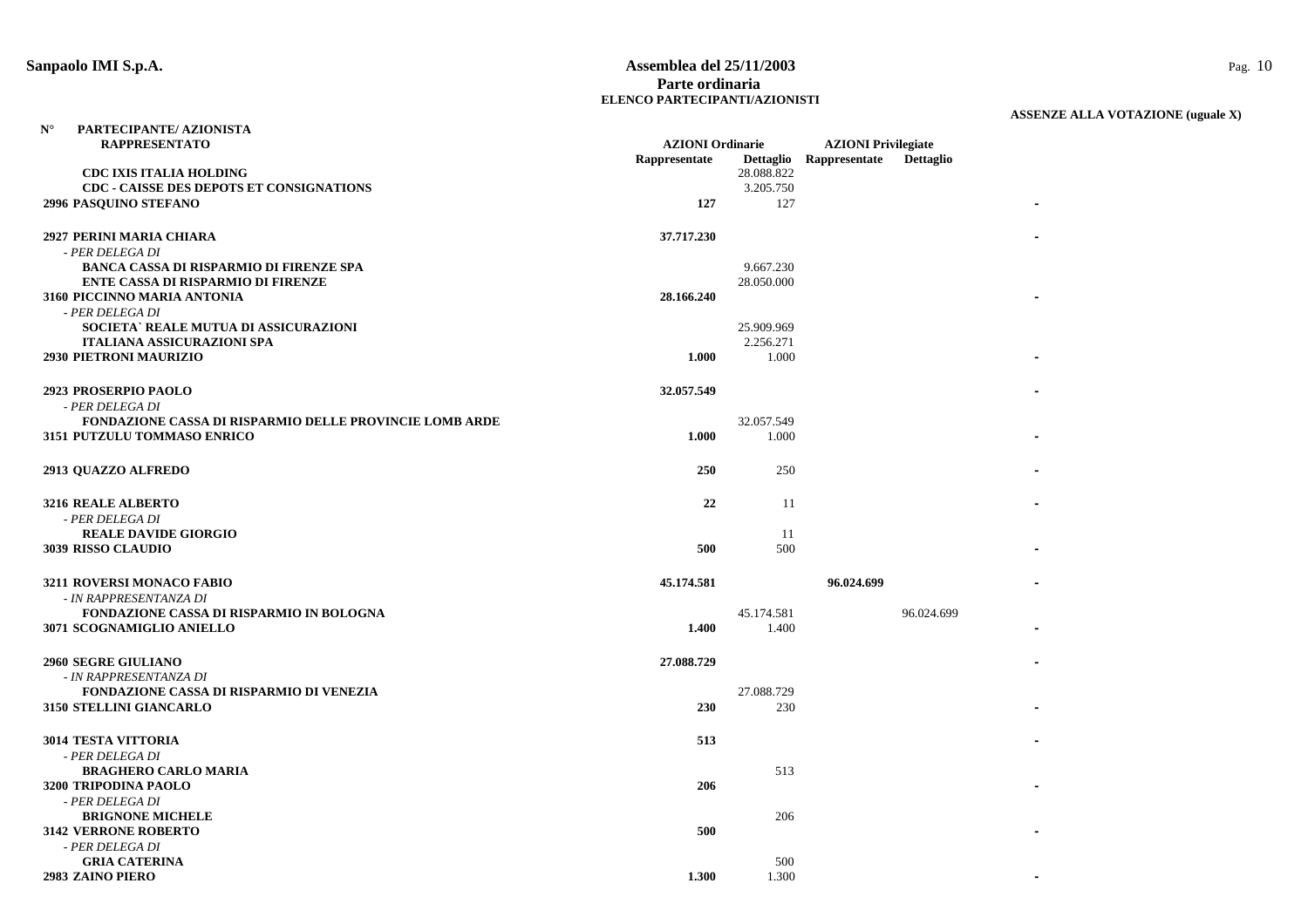#### **Sanpaolo IMI S.p.A. Assemblea del 25/11/2003** Pag. 10 **Parte ordinariaELENCO PARTECIPANTI/AZIONISTI**

| $\mathbf{N}^\circ$ | PARTECIPANTE/ AZIONISTA                                        |                                          |            |                                                       |                  |  |
|--------------------|----------------------------------------------------------------|------------------------------------------|------------|-------------------------------------------------------|------------------|--|
|                    | <b>RAPPRESENTATO</b>                                           | <b>AZIONI</b> Ordinarie<br>Rappresentate |            | <b>AZIONI Privilegiate</b><br>Dettaglio Rappresentate | <b>Dettaglio</b> |  |
|                    | <b>CDC IXIS ITALIA HOLDING</b>                                 |                                          | 28.088.822 |                                                       |                  |  |
|                    | CDC - CAISSE DES DEPOTS ET CONSIGNATIONS                       |                                          | 3.205.750  |                                                       |                  |  |
|                    | 2996 PASQUINO STEFANO                                          | 127                                      | 127        |                                                       |                  |  |
|                    |                                                                |                                          |            |                                                       |                  |  |
|                    | 2927 PERINI MARIA CHIARA                                       | 37.717.230                               |            |                                                       |                  |  |
|                    | - PER DELEGA DI                                                |                                          |            |                                                       |                  |  |
|                    | BANCA CASSA DI RISPARMIO DI FIRENZE SPA                        |                                          | 9.667.230  |                                                       |                  |  |
|                    | <b>ENTE CASSA DI RISPARMIO DI FIRENZE</b>                      |                                          | 28.050.000 |                                                       |                  |  |
|                    | 3160 PICCINNO MARIA ANTONIA                                    | 28.166.240                               |            |                                                       |                  |  |
|                    | - PER DELEGA DI                                                |                                          |            |                                                       |                  |  |
|                    | SOCIETA` REALE MUTUA DI ASSICURAZIONI                          |                                          | 25.909.969 |                                                       |                  |  |
|                    | <b>ITALIANA ASSICURAZIONI SPA</b>                              |                                          | 2.256.271  |                                                       |                  |  |
|                    | 2930 PIETRONI MAURIZIO                                         | 1.000                                    | 1.000      |                                                       |                  |  |
|                    | 2923 PROSERPIO PAOLO                                           | 32.057.549                               |            |                                                       |                  |  |
|                    | - PER DELEGA DI                                                |                                          |            |                                                       |                  |  |
|                    | <b>FONDAZIONE CASSA DI RISPARMIO DELLE PROVINCIE LOMB ARDE</b> |                                          | 32.057.549 |                                                       |                  |  |
|                    | 3151 PUTZULU TOMMASO ENRICO                                    | 1.000                                    | 1.000      |                                                       |                  |  |
|                    |                                                                |                                          |            |                                                       |                  |  |
|                    | 2913 QUAZZO ALFREDO                                            | 250                                      | 250        |                                                       |                  |  |
|                    |                                                                |                                          |            |                                                       |                  |  |
|                    | <b>3216 REALE ALBERTO</b>                                      | 22                                       | 11         |                                                       |                  |  |
|                    | - PER DELEGA DI                                                |                                          |            |                                                       |                  |  |
|                    | <b>REALE DAVIDE GIORGIO</b>                                    |                                          | -11        |                                                       |                  |  |
|                    | 3039 RISSO CLAUDIO                                             | 500                                      | 500        |                                                       |                  |  |
|                    |                                                                |                                          |            |                                                       |                  |  |
|                    | 3211 ROVERSI MONACO FABIO                                      | 45.174.581                               |            | 96.024.699                                            |                  |  |
|                    | - IN RAPPRESENTANZA DI                                         |                                          |            |                                                       |                  |  |
|                    | FONDAZIONE CASSA DI RISPARMIO IN BOLOGNA                       |                                          | 45.174.581 |                                                       | 96.024.699       |  |
|                    | 3071 SCOGNAMIGLIO ANIELLO                                      | 1.400                                    | 1.400      |                                                       |                  |  |
|                    |                                                                |                                          |            |                                                       |                  |  |
|                    | <b>2960 SEGRE GIULIANO</b>                                     | 27.088.729                               |            |                                                       |                  |  |
|                    | - IN RAPPRESENTANZA DI                                         |                                          |            |                                                       |                  |  |
|                    | FONDAZIONE CASSA DI RISPARMIO DI VENEZIA                       |                                          | 27.088.729 |                                                       |                  |  |
|                    | 3150 STELLINI GIANCARLO                                        | 230                                      | 230        |                                                       |                  |  |
|                    |                                                                |                                          |            |                                                       |                  |  |
|                    | <b>3014 TESTA VITTORIA</b>                                     | 513                                      |            |                                                       |                  |  |
|                    | - PER DELEGA DI                                                |                                          |            |                                                       |                  |  |
|                    | <b>BRAGHERO CARLO MARIA</b>                                    |                                          | 513        |                                                       |                  |  |
|                    | 3200 TRIPODINA PAOLO                                           | 206                                      |            |                                                       |                  |  |
|                    | - PER DELEGA DI                                                |                                          |            |                                                       |                  |  |
|                    | <b>BRIGNONE MICHELE</b>                                        |                                          | 206        |                                                       |                  |  |
|                    | <b>3142 VERRONE ROBERTO</b>                                    | 500                                      |            |                                                       |                  |  |
|                    | - PER DELEGA DI                                                |                                          |            |                                                       |                  |  |
|                    | <b>GRIA CATERINA</b>                                           |                                          | 500        |                                                       |                  |  |
|                    | 2983 ZAINO PIERO                                               | 1.300                                    | 1.300      |                                                       |                  |  |